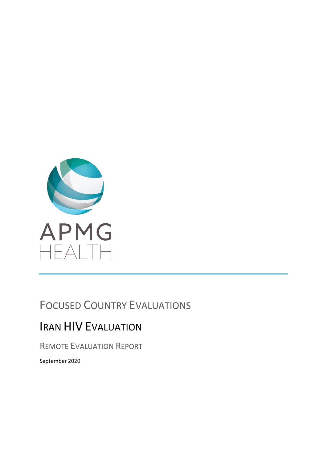

# FOCUSED COUNTRY EVALUATIONS

# IRAN HIV EVALUATION

REMOTE EVALUATION REPORT

September 2020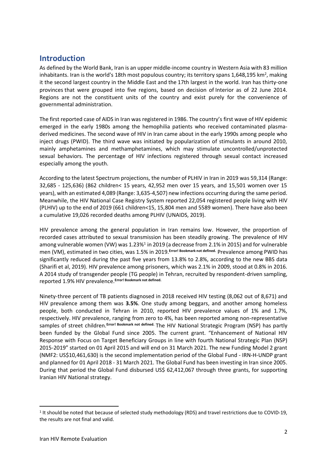## **Introduction**

As defined by the World Bank, Iran is an upper middle-income country in [Western Asia](https://en.wikipedia.org/wiki/Western_Asia) with 83 million inhabitants. Iran is the world's [18th most populous country;](https://en.wikipedia.org/wiki/List_of_countries_and_dependencies_by_population) its territory spans 1,648,195 km<sup>2</sup>, making it the second largest country in the [Middle East](https://en.wikipedia.org/wiki/Middle_East) and the [17th largest in the world.](https://en.wikipedia.org/wiki/List_of_countries_and_dependencies_by_area) Iran has [thirty-one](https://en.wikipedia.org/wiki/Provinces_of_Iran)  [provinces](https://en.wikipedia.org/wiki/Provinces_of_Iran) that were grouped into five regions, based on decision of Interior as of 22 June 2014. Regions are not the constituent units of the country and exist purely for the convenience of governmental administration.

The first reported case of AIDS in Iran was registered in 1986. The country's first wave of HIV epidemic emerged in the early 1980s among the hemophilia patients who received contaminated plasmaderived medicines. The second wave of HIV in Iran came about in the early 1990s among people who inject drugs (PWID). The third wave was initiated by popularization of stimulants in around 2010, mainly amphetamines and methamphetamines, which may stimulate uncontrolled/unprotected sexual behaviors. The percentage of HIV infections registered through sexual contact increased especially among the youth.

According to the latest Spectrum projections, the number of PLHIV in Iran in 2019 was 59,314 (Range: 32,685 - 125,636) (862 children< 15 years, 42,952 men over 15 years, and 15,501 women over 15 years), with an estimated 4,089 (Range: 3,635-4,507) new infections occurring during the same period. Meanwhile, the HIV National Case Registry System reported 22,054 registered people living with HIV (PLHIV) up to the end of 2019 (661 children<15, 15,804 men and 5589 women). There have also been a cumulative 19,026 recorded deaths among PLHIV (UNAIDS, 2019).

HIV prevalence among the general population in Iran remains low. However, the proportion of recorded cases attributed to sexual transmission has been steadily growing. The prevalence of HIV among vulnerable women (VW) was 1.23%<sup>1</sup> in 2019 (a decrease from 2.1% in 2015) and for vulnerable men (VM), estimated in two cities, was 1.5% in 2019.**Error! Bookmark not defined.** Prevalence among PWID has significantly reduced during the past five years from 13.8% to 2.8%, according to the new BBS data (Sharifi et al, 2019). HIV prevalence among prisoners, which was 2.1% in 2009, stood at 0.8% in 2016. A 2014 study of transgender people (TG people) in Tehran, recruited by respondent-driven sampling, reported 1.9% HIV prevalence.**Error! Bookmark not defined.**

Ninety-three percent of TB patients diagnosed in 2018 received HIV testing (8,062 out of 8,671) and HIV prevalence among them was **3.5%**. One study among beggars, and another among homeless people, both conducted in Tehran in 2010, reported HIV prevalence values of 1% and 1.7%, respectively. HIV prevalence, ranging from zero to 4%, has been reported among non-representative samples of street children.**Error! Bookmark not defined.** The HIV National Strategic Program (NSP) has partly been funded by the Global Fund since 2005. The current grant. "Enhancement of National HIV Response with Focus on Target Beneficiary Groups in line with fourth National Strategic Plan (NSP) 2015-2019" started on 01 April 2015 and will end on 31 March 2021. The new Funding Model 2 grant (NMF2: US\$10,461,630) is the second implementation period of the Global Fund - IRN-H-UNDP grant and planned for 01 April 2018 - 31 March 2021. The Global Fund has been investing in Iran since 2005. During that period the Global Fund disbursed US\$ 62,412,067 through three grants, for supporting Iranian HIV National strategy.

<sup>&</sup>lt;sup>1</sup> It should be noted that because of selected study methodology (RDS) and travel restrictions due to COVID-19, the results are not final and valid.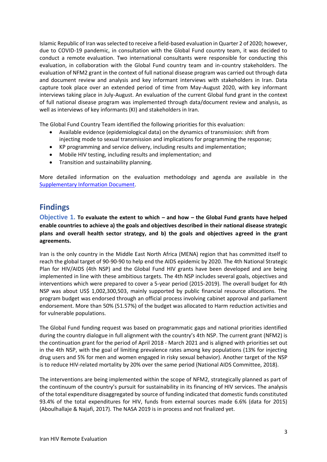Islamic Republic of Iran was selected to receive a field-based evaluation in Quarter 2 of 2020; however, due to COVID-19 pandemic, in consultation with the Global Fund country team, it was decided to conduct a remote evaluation. Two international consultants were responsible for conducting this evaluation, in collaboration with the Global Fund country team and in-country stakeholders. The evaluation of NFM2 grant in the context of full national disease program was carried out through data and document review and analysis and key informant interviews with stakeholders in Iran. Data capture took place over an extended period of time from May-August 2020, with key informant interviews taking place in July-August. An evaluation of the current Global fund grant in the context of full national disease program was implemented through data/document review and analysis, as well as interviews of key informants (KI) and stakeholders in Iran.

The Global Fund Country Team identified the following priorities for this evaluation:

- Available evidence (epidemiological data) on the dynamics of transmission: shift from injecting mode to sexual transmission and implications for programming the response;
- KP programming and service delivery, including results and implementation;
- Mobile HIV testing, including results and implementation; and
- Transition and sustainability planning.

More detailed information on the evaluation methodology and agenda are available in the [Supplementary Information Document.](https://drive.google.com/file/d/19aej89_GDwbQJdQoyZrtA6AORzasfA7F/view?usp=sharing)

## **Findings**

**Objective 1. To evaluate the extent to which – and how – the Global Fund grants have helped enable countries to achieve a) the goals and objectives described in their national disease strategic plans and overall health sector strategy, and b) the goals and objectives agreed in the grant agreements.** 

Iran is the only country in the Middle East North Africa (MENA) region that has committed itself to reach the global target of 90-90-90 to help end the AIDS epidemic by 2020. The 4th National Strategic Plan for HIV/AIDS (4th NSP) and the Global Fund HIV grants have been developed and are being implemented in line with these ambitious targets. The 4th NSP includes several goals, objectives and interventions which were prepared to cover a 5-year period (2015-2019). The overall budget for 4th NSP was about US\$ 1,002,300,503, mainly supported by public financial resource allocations. The program budget was endorsed through an official process involving cabinet approval and parliament endorsement. More than 50% (51.57%) of the budget was allocated to Harm reduction activities and for vulnerable populations.

The Global Fund funding request was based on programmatic gaps and national priorities identified during the country dialogue in full alignment with the country's 4th NSP. The current grant (NFM2) is the continuation grant for the period of April 2018 - March 2021 and is aligned with priorities set out in the 4th NSP, with the goal of limiting prevalence rates among key populations (13% for injecting drug users and 5% for men and women engaged in risky sexual behavior). Another target of the NSP is to reduce HIV-related mortality by 20% over the same period (National AIDS Committee, 2018).

The interventions are being implemented within the scope of NFM2, strategically planned as part of the continuum of the country's pursuit for sustainability in its financing of HIV services. The analysis of the total expenditure disaggregated by source of funding indicated that domestic funds constituted 93.4% of the total expenditures for HIV, funds from external sources made 6.6% (data for 2015) (Aboulhallaje & Najafi, 2017). The NASA 2019 is in process and not finalized yet.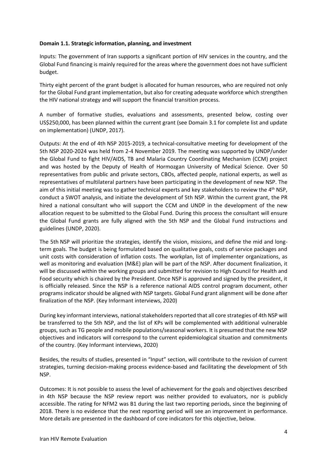### **Domain 1.1. Strategic information, planning, and investment**

Inputs: The government of Iran supports a significant portion of HIV services in the country, and the Global Fund financing is mainly required for the areas where the government does not have sufficient budget.

Thirty eight percent of the grant budget is allocated for human resources, who are required not only for the Global Fund grant implementation, but also for creating adequate workforce which strengthen the HIV national strategy and will support the financial transition process.

A number of formative studies, evaluations and assessments, presented below, costing over US\$250,000, has been planned within the current grant (see Domain 3.1 for complete list and update on implementation) (UNDP, 2017).

Outputs: At the end of 4th NSP 2015-2019, a technical-consultative meeting for development of the 5th NSP 2020-2024 was held from 2-4 November 2019. The meeting was supported by UNDP/under the Global Fund to fight HIV/AIDS, TB and Malaria Country Coordinating Mechanism (CCM) project and was hosted by the Deputy of Health of Hormozgan University of Medical Science. Over 50 representatives from public and private sectors, CBOs, affected people, national experts, as well as representatives of multilateral partners have been participating in the development of new NSP. The aim of this initial meeting was to gather technical experts and key stakeholders to review the 4<sup>th</sup> NSP, conduct a SWOT analysis, and initiate the development of 5th NSP. Within the current grant, the PR hired a national consultant who will support the CCM and UNDP in the development of the new allocation request to be submitted to the Global Fund. During this process the consultant will ensure the Global Fund grants are fully aligned with the 5th NSP and the Global Fund instructions and guidelines (UNDP, 2020).

The 5th NSP will prioritize the strategies, identify the vision, missions, and define the mid and longterm goals. The budget is being formulated based on qualitative goals, costs of service packages and unit costs with consideration of inflation costs. The workplan, list of implementer organizations, as well as monitoring and evaluation (M&E) plan will be part of the NSP. After document finalization, it will be discussed within the working groups and submitted for revision to High Council for Health and Food security which is chaired by the President. Once NSP is approved and signed by the president, it is officially released. Since the NSP is a reference national AIDS control program document, other programs indicator should be aligned with NSP targets. Global Fund grant alignment will be done after finalization of the NSP. (Key Informant interviews, 2020)

During key informant interviews, national stakeholders reported that all core strategies of 4th NSP will be transferred to the 5th NSP, and the list of KPs will be complemented with additional vulnerable groups, such as TG people and mobile populations/seasonal workers. It is presumed that the new NSP objectives and indicators will correspond to the current epidemiological situation and commitments of the country. (Key Informant interviews, 2020)

Besides, the results of studies, presented in "Input" section, will contribute to the revision of current strategies, turning decision-making process evidence-based and facilitating the development of 5th NSP.

Outcomes: It is not possible to assess the level of achievement for the goals and objectives described in 4th NSP because the NSP review report was neither provided to evaluators, nor is publicly accessible. The rating for NFM2 was B1 during the last two reporting periods, since the beginning of 2018. There is no evidence that the next reporting period will see an improvement in performance. More details are presented in the dashboard of core indicators for this objective, below.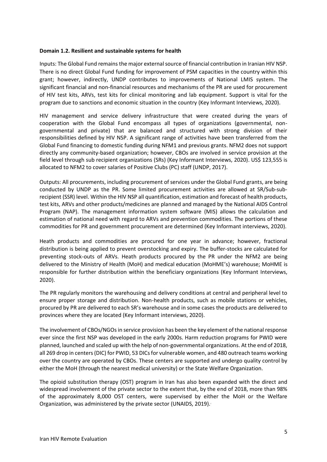#### **Domain 1.2. Resilient and sustainable systems for health**

Inputs: The Global Fund remains the major external source of financial contribution in Iranian HIV NSP. There is no direct Global Fund funding for improvement of PSM capacities in the country within this grant; however, indirectly, UNDP contributes to improvements of National LMIS system. The significant financial and non-financial resources and mechanisms of the PR are used for procurement of HIV test kits, ARVs, test kits for clinical monitoring and lab equipment. Support is vital for the program due to sanctions and economic situation in the country (Key Informant Interviews, 2020).

HIV management and service delivery infrastructure that were created during the years of cooperation with the Global Fund encompass all types of organizations (governmental, nongovernmental and private) that are balanced and structured with strong division of their responsibilities defined by HIV NSP. A significant range of activities have been transferred from the Global Fund financing to domestic funding during NFM1 and previous grants. NFM2 does not support directly any community-based organization; however, CBOs are involved in service provision at the field level through sub recipient organizations (SRs) (Key Informant Interviews, 2020). US\$ 123,555 is allocated to NFM2 to cover salaries of Positive Clubs (PC) staff (UNDP, 2017).

Outputs: All procurements, including procurement of services under the Global Fund grants, are being conducted by UNDP as the PR. Some limited procurement activities are allowed at SR/Sub-subrecipient (SSR) level. Within the HIV NSP all quantification, estimation and forecast of health products, test kits, ARVs and other products/medicines are planned and managed by the National AIDS Control Program (NAP). The management information system software (MIS) allows the calculation and estimation of national need with regard to ARVs and prevention commodities. The portions of these commodities for PR and government procurement are determined (Key Informant interviews, 2020).

Heath products and commodities are procured for one year in advance; however, fractional distribution is being applied to prevent overstocking and expiry. The buffer-stocks are calculated for preventing stock-outs of ARVs. Heath products procured by the PR under the NFM2 are being delivered to the Ministry of Health (MoH) and medical education (MoHME's) warehouse; MoHME is responsible for further distribution within the beneficiary organizations (Key Informant Interviews, 2020).

The PR regularly monitors the warehousing and delivery conditions at central and peripheral level to ensure proper storage and distribution. Non-health products, such as mobile stations or vehicles, procured by PR are delivered to each SR's warehouse and in some cases the products are delivered to provinces where they are located (Key Informant interviews, 2020).

The involvement of CBOs/NGOs in service provision has been the key element of the national response ever since the first NSP was developed in the early 2000s. Harm reduction programs for PWID were planned, launched and scaled up with the help of non-governmental organizations. At the end of 2018, all 269 drop in centers (DIC) for PWID, 53 DICs for vulnerable women, and 480 outreach teams working over the country are operated by CBOs. These centers are supported and undergo quality control by either the MoH (through the nearest medical university) or the State Welfare Organization.

The opioid substitution therapy (OST) program in Iran has also been expanded with the direct and widespread involvement of the private sector to the extent that, by the end of 2018, more than 98% of the approximately 8,000 OST centers, were supervised by either the MoH or the Welfare Organization, was administered by the private sector (UNAIDS, 2019)..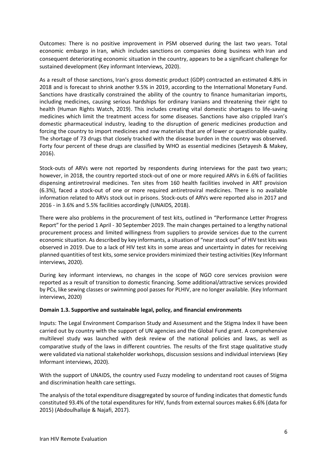Outcomes: There is no positive improvement in PSM observed during the last two years. Total economic embargo in Iran, which includes sanctions on companies doing business with Iran and consequent deteriorating economic situation in the country, appears to be a significant challenge for sustained development (Key informant Interviews, 2020).

As a result of those sanctions, [Iran's gross domestic product \(GDP\) contracted an estimated 4.8% in](https://www.imf.org/en/Publications/WEO/Issues/2019/10/01/world-economic-outlook-october-2019)  [2018 and is forecast to shrink another 9.5% in 2019,](https://www.imf.org/en/Publications/WEO/Issues/2019/10/01/world-economic-outlook-october-2019) according to the International Monetary Fund. Sanctions have drastically constrained the ability of the country to finance humanitarian imports, including medicines, causing serious hardships for ordinary Iranians and threatening their right to health (Human Rights Watch, 2019). This includes creating vital domestic shortages to life-saving medicines which limit the treatment access for some diseases. Sanctions have also crippled Iran's domestic pharmaceutical industry, leading to the disruption of generic medicines production and forcing the country to import medicines and raw materials that are of lower or questionable quality. The shortage of 73 drugs that closely tracked with the disease burden in the country was observed. Forty four percent of these drugs are classified by WHO as essential medicines (Setayesh & Makey, 2016).

Stock-outs of ARVs were not reported by respondents during interviews for the past two years; however, in 2018, the country reported stock-out of one or more required ARVs in 6.6% of facilities dispensing antiretroviral medicines. Ten sites from 160 health facilities involved in ART provision (6.3%), faced a stock-out of one or more required antiretroviral medicines. There is no available information related to ARVs stock out in prisons. Stock-outs of ARVs were reported also in 2017 and 2016 - in 3.6% and 5.5% facilities accordingly (UNAIDS, 2018).

There were also problems in the procurement of test kits, outlined in "Performance Letter Progress Report" for the period 1 April - 30 September 2019. The main changes pertained to a lengthy national procurement process and limited willingness from suppliers to provide services due to the current economic situation. As described by key informants, a situation of "near stock out" of HIV test kits was observed in 2019. Due to a lack of HIV test kits in some areas and uncertainty in dates for receiving planned quantities of test kits, some service providers minimized their testing activities(Key Informant interviews, 2020).

During key informant interviews, no changes in the scope of NGO core services provision were reported as a result of transition to domestic financing. Some additional/attractive services provided by PCs, like sewing classes or swimming pool passes for PLHIV, are no longer available. (Key Informant interviews, 2020)

## **Domain 1.3. Supportive and sustainable legal, policy, and financial environments**

Inputs: The Legal Environment Comparison Study and Assessment and the Stigma Index II have been carried out by country with the support of UN agencies and the Global Fund grant. A comprehensive multilevel study was launched with desk review of the national policies and laws, as well as comparative study of the laws in different countries. The results of the first stage qualitative study were validated via national stakeholder workshops, discussion sessions and individual interviews (Key Informant interviews, 2020).

With the support of UNAIDS, the country used Fuzzy modeling to understand root causes of Stigma and discrimination health care settings.

The analysis of the total expenditure disaggregated by source of funding indicates that domestic funds constituted 93.4% of the total expenditures for HIV, funds from external sources makes 6.6% (data for 2015) (Abdoulhallaje & Najafi, 2017).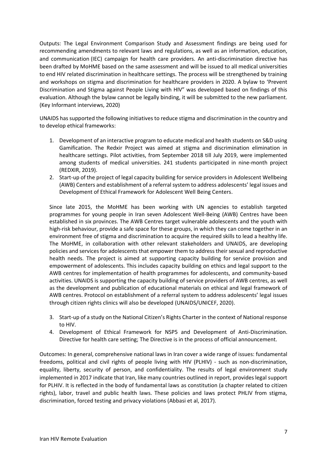Outputs: The Legal Environment Comparison Study and Assessment findings are being used for recommending amendments to relevant laws and regulations, as well as an information, education, and communication (IEC) campaign for health care providers. An anti-discrimination directive has been drafted by MoHME based on the same assessment and will be issued to all medical universities to end HIV related discrimination in healthcare settings. The process will be strengthened by training and workshops on stigma and discrimination for healthcare providers in 2020. A bylaw to 'Prevent Discrimination and Stigma against People Living with HIV" was developed based on findings of this evaluation. Although the bylaw cannot be legally binding, it will be submitted to the new parliament. (Key Informant interviews, 2020)

UNAIDS has supported the following initiatives to reduce stigma and discrimination in the country and to develop ethical frameworks:

- 1. Development of an interactive program to educate medical and health students on S&D using Gamification. The Redxir Project was aimed at stigma and discrimination elimination in healthcare settings. Pilot activities, from September 2018 till July 2019, were implemented among students of medical universities. 241 students participated in nine-month project (REDXIR, 2019).
- 2. Start-up of the project of legal capacity building for service providers in Adolescent Wellbeing (AWB) Centers and establishment of a referral system to address adolescents' legal issues and Development of Ethical Framework for Adolescent Well Being Centers.

Since late 2015, the MoHME has been working with UN agencies to establish targeted programmes for young people in Iran seven Adolescent Well-Being (AWB) Centres have been established in six provinces. The AWB Centres target vulnerable adolescents and the youth with high-risk behaviour, provide a safe space for these groups, in which they can come together in an environment free of stigma and discrimination to acquire the required skills to lead a healthy life. The MoHME, in collaboration with other relevant stakeholders and UNAIDS, are developing policies and services for adolescents that empower them to address their sexual and reproductive health needs. The project is aimed at supporting capacity building for service provision and empowerment of adolescents. This includes capacity building on ethics and legal support to the AWB centres for implementation of health programmes for adolescents, and community-based activities. UNAIDS is supporting the capacity building of service providers of AWB centres, as well as the development and publication of educational materials on ethical and legal framework of AWB centres. Protocol on establishment of a referral system to address adolescents' legal issues through citizen rights clinics will also be developed (UNAIDS/UNICEF, 2020).

- 3. Start-up of a study on the National Citizen's Rights Charter in the context of National response to HIV.
- 4. Development of Ethical Framework for NSP5 and Development of Anti-Discrimination. Directive for health care setting; The Directive is in the process of official announcement.

Outcomes: In general, comprehensive national laws in Iran cover a wide range of issues: fundamental freedoms, political and civil rights of people living with HIV (PLHIV) - such as non-discrimination, equality, liberty, security of person, and confidentiality. The results of legal environment study implemented in 2017 indicate that Iran, like many countries outlined in report, provides legal support for PLHIV. It is reflected in the body of fundamental laws as constitution (a chapter related to citizen rights), labor, travel and public health laws. These policies and laws protect PHLIV from stigma, discrimination, forced testing and privacy violations (Abbasi et al, 2017).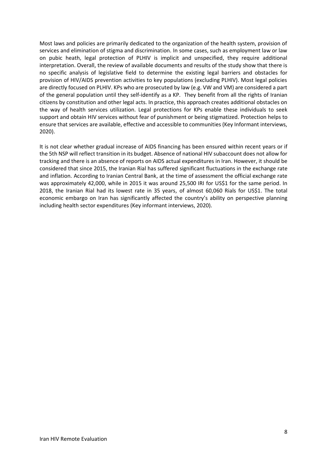Most laws and policies are primarily dedicated to the organization of the health system, provision of services and elimination of stigma and discrimination. In some cases, such as employment law or law on pubic heath, legal protection of PLHIV is implicit and unspecified, they require additional interpretation. Overall, the review of available documents and results of the study show that there is no specific analysis of legislative field to determine the existing legal barriers and obstacles for provision of HIV/AIDS prevention activities to key populations (excluding PLHIV). Most legal policies are directly focused on PLHIV. KPs who are prosecuted by law (e.g. VW and VM) are considered a part of the general population until they self-identify as a KP. They benefit from all the rights of Iranian citizens by constitution and other legal acts. In practice, this approach creates additional obstacles on the way of health services utilization. Legal protections for KPs enable these individuals to seek support and obtain HIV services without fear of punishment or being stigmatized. Protection helps to ensure that services are available, effective and accessible to communities (Key Informant interviews, 2020).

It is not clear whether gradual increase of AIDS financing has been ensured within recent years or if the 5th NSP will reflect transition in its budget. Absence of national HIV subaccount does not allow for tracking and there is an absence of reports on AIDS actual expenditures in Iran. However, it should be considered that since 2015, the Iranian Rial has suffered significant fluctuations in the exchange rate and inflation. According to Iranian Central Bank, at the time of assessment the official exchange rate was approximately 42,000, while in 2015 it was around 25,500 IRI for US\$1 for the same period. In 2018, the Iranian Rial had its lowest rate in 35 years, of almost 60,060 Rials for US\$1. The total economic embargo on Iran has significantly affected the country's ability on perspective planning including health sector expenditures (Key informant interviews, 2020).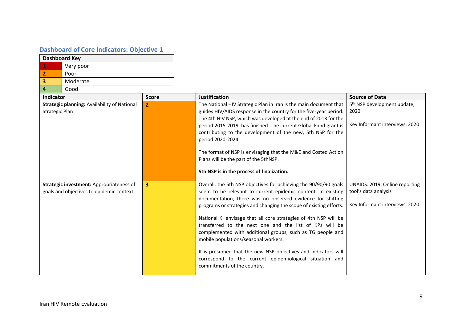## **Dashboard of Core Indicators: Objective 1**

| <b>Dashboard Key</b> |           |  |
|----------------------|-----------|--|
|                      | Very poor |  |
|                      | Poor      |  |
|                      | Moderate  |  |
|                      | Good      |  |

| <b>Indicator</b>                                                                     | <b>Score</b> | <b>Justification</b>                                                                                                                                                                                                                                                                                                                                                                                                                                                                                                                                                                                                                                                  | <b>Source of Data</b>                                                                    |
|--------------------------------------------------------------------------------------|--------------|-----------------------------------------------------------------------------------------------------------------------------------------------------------------------------------------------------------------------------------------------------------------------------------------------------------------------------------------------------------------------------------------------------------------------------------------------------------------------------------------------------------------------------------------------------------------------------------------------------------------------------------------------------------------------|------------------------------------------------------------------------------------------|
| Strategic planning: Availability of National<br>Strategic Plan                       | $\mathbf{2}$ | The National HIV Strategic Plan in Iran is the main document that<br>guides HIV/AIDS response in the country for the five-year period.<br>The 4th HIV NSP, which was developed at the end of 2013 for the<br>period 2015-2019, has finished. The current Global Fund grant is<br>contributing to the development of the new, 5th NSP for the<br>period 2020-2024.<br>The format of NSP is envisaging that the M&E and Costed Action<br>Plans will be the part of the 5thNSP.<br>5th NSP is in the process of finalization.                                                                                                                                            | 5 <sup>th</sup> NSP development update,<br>2020<br>Key Informant interviews, 2020        |
| Strategic investment: Appropriateness of<br>goals and objectives to epidemic context | 3            | Overall, the 5th NSP objectives for achieving the 90/90/90 goals<br>seem to be relevant to current epidemic content. In existing<br>documentation, there was no observed evidence for shifting<br>programs or strategies and changing the scope of existing efforts.<br>National KI envisage that all core strategies of 4th NSP will be<br>transferred to the next one and the list of KPs will be<br>complemented with additional groups, such as TG people and<br>mobile populations/seasonal workers.<br>It is presumed that the new NSP objectives and indicators will<br>correspond to the current epidemiological situation and<br>commitments of the country. | UNAIDS. 2019, Online reporting<br>tool's data analysis<br>Key Informant interviews, 2020 |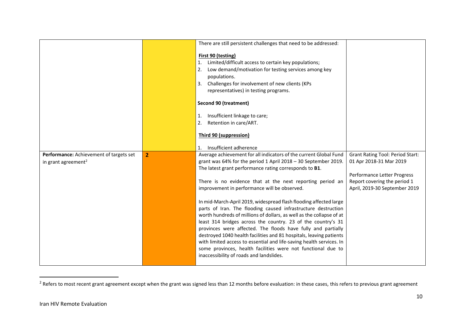|                                                                            |                | There are still persistent challenges that need to be addressed:                                                                                                                                                                                                                                                                                                                                                                                                                                                                                                                                                                                                                                                                                                                                                                                                                                                    |                                                                                                                                                                    |
|----------------------------------------------------------------------------|----------------|---------------------------------------------------------------------------------------------------------------------------------------------------------------------------------------------------------------------------------------------------------------------------------------------------------------------------------------------------------------------------------------------------------------------------------------------------------------------------------------------------------------------------------------------------------------------------------------------------------------------------------------------------------------------------------------------------------------------------------------------------------------------------------------------------------------------------------------------------------------------------------------------------------------------|--------------------------------------------------------------------------------------------------------------------------------------------------------------------|
|                                                                            |                | First 90 (testing)<br>Limited/difficult access to certain key populations;<br>1.<br>Low demand/motivation for testing services among key<br>2.<br>populations.<br>Challenges for involvement of new clients (KPs<br>3.<br>representatives) in testing programs.<br>Second 90 (treatment)<br>Insufficient linkage to care;<br>1.<br>Retention in care/ART.<br>2.<br><b>Third 90 (suppression)</b>                                                                                                                                                                                                                                                                                                                                                                                                                                                                                                                    |                                                                                                                                                                    |
|                                                                            |                | Insufficient adherence<br>$\mathbf{1}$ .                                                                                                                                                                                                                                                                                                                                                                                                                                                                                                                                                                                                                                                                                                                                                                                                                                                                            |                                                                                                                                                                    |
| Performance: Achievement of targets set<br>in grant agreement <sup>2</sup> | $\overline{2}$ | Average achievement for all indicators of the current Global Fund<br>grant was 64% for the period 1 April 2018 - 30 September 2019.<br>The latest grant performance rating corresponds to B1.<br>There is no evidence that at the next reporting period an<br>improvement in performance will be observed.<br>In mid-March-April 2019, widespread flash flooding affected large<br>parts of Iran. The flooding caused infrastructure destruction<br>worth hundreds of millions of dollars, as well as the collapse of at<br>least 314 bridges across the country. 23 of the country's 31<br>provinces were affected. The floods have fully and partially<br>destroyed 1040 health facilities and 81 hospitals, leaving patients<br>with limited access to essential and life-saving health services. In<br>some provinces, health facilities were not functional due to<br>inaccessibility of roads and landslides. | <b>Grant Rating Tool: Period Start:</b><br>01 Apr 2018-31 Mar 2019<br>Performance Letter Progress<br>Report covering the period 1<br>April, 2019-30 September 2019 |

 $^{2}$  Refers to most recent grant agreement except when the grant was signed less than 12 months before evaluation: in these cases, this refers to previous grant agreement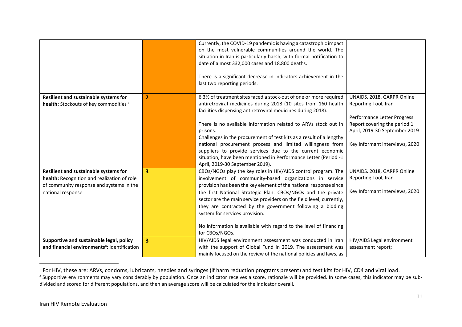|                                                          |                | Currently, the COVID-19 pandemic is having a catastrophic impact<br>on the most vulnerable communities around the world. The<br>situation in Iran is particularly harsh, with formal notification to<br>date of almost 332,000 cases and 18,800 deaths.<br>There is a significant decrease in indicators achievement in the<br>last two reporting periods. |                                |
|----------------------------------------------------------|----------------|------------------------------------------------------------------------------------------------------------------------------------------------------------------------------------------------------------------------------------------------------------------------------------------------------------------------------------------------------------|--------------------------------|
| Resilient and sustainable systems for                    | $\overline{2}$ | 6.3% of treatment sites faced a stock-out of one or more required                                                                                                                                                                                                                                                                                          | UNAIDS. 2018. GARPR Online     |
| health: Stockouts of key commodities <sup>3</sup>        |                | antiretroviral medicines during 2018 (10 sites from 160 health                                                                                                                                                                                                                                                                                             | Reporting Tool, Iran           |
|                                                          |                | facilities dispensing antiretroviral medicines during 2018).                                                                                                                                                                                                                                                                                               | Performance Letter Progress    |
|                                                          |                | There is no available information related to ARVs stock out in                                                                                                                                                                                                                                                                                             | Report covering the period 1   |
|                                                          |                | prisons.                                                                                                                                                                                                                                                                                                                                                   | April, 2019-30 September 2019  |
|                                                          |                | Challenges in the procurement of test kits as a result of a lengthy                                                                                                                                                                                                                                                                                        |                                |
|                                                          |                | national procurement process and limited willingness from                                                                                                                                                                                                                                                                                                  | Key Informant interviews, 2020 |
|                                                          |                | suppliers to provide services due to the current economic<br>situation, have been mentioned in Performance Letter (Period -1                                                                                                                                                                                                                               |                                |
|                                                          |                | April, 2019-30 September 2019).                                                                                                                                                                                                                                                                                                                            |                                |
| Resilient and sustainable systems for                    | 3              | CBOs/NGOs play the key roles in HIV/AIDS control program. The                                                                                                                                                                                                                                                                                              | UNAIDS. 2018, GARPR Online     |
| health: Recognition and realization of role              |                | involvement of community-based organizations in service                                                                                                                                                                                                                                                                                                    | Reporting Tool, Iran           |
| of community response and systems in the                 |                | provision has been the key element of the national response since                                                                                                                                                                                                                                                                                          | Key Informant interviews, 2020 |
| national response                                        |                | the first National Strategic Plan. CBOs/NGOs and the private                                                                                                                                                                                                                                                                                               |                                |
|                                                          |                | sector are the main service providers on the field level; currently,<br>they are contracted by the government following a bidding                                                                                                                                                                                                                          |                                |
|                                                          |                | system for services provision.                                                                                                                                                                                                                                                                                                                             |                                |
|                                                          |                |                                                                                                                                                                                                                                                                                                                                                            |                                |
|                                                          |                | No information is available with regard to the level of financing                                                                                                                                                                                                                                                                                          |                                |
|                                                          |                | for CBOs/NGOs.                                                                                                                                                                                                                                                                                                                                             |                                |
| Supportive and sustainable legal, policy                 | 3              | HIV/AIDS legal environment assessment was conducted in Iran                                                                                                                                                                                                                                                                                                | HIV/AIDS Legal environment     |
| and financial environments <sup>4</sup> : Identification |                | with the support of Global Fund in 2019. The assessment was                                                                                                                                                                                                                                                                                                | assessment report;             |
|                                                          |                | mainly focused on the review of the national policies and laws, as                                                                                                                                                                                                                                                                                         |                                |

<sup>&</sup>lt;sup>3</sup> For HIV, these are: ARVs, condoms, lubricants, needles and syringes (if harm reduction programs present) and test kits for HIV, CD4 and viral load. <sup>4</sup> Supportive environments may vary considerably by population. Once an indicator receives a score, rationale will be provided. In some cases, this indicator may be sub-

divided and scored for different populations, and then an average score will be calculated for the indicator overall.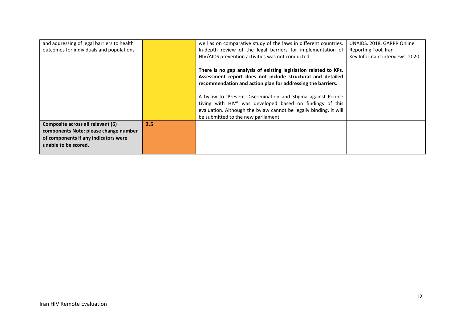| and addressing of legal barriers to health |     | well as on comparative study of the laws in different countries.  | UNAIDS. 2018, GARPR Online     |
|--------------------------------------------|-----|-------------------------------------------------------------------|--------------------------------|
| outcomes for individuals and populations   |     | In-depth review of the legal barriers for implementation of       | Reporting Tool, Iran           |
|                                            |     | HIV/AIDS prevention activities was not conducted.                 | Key Informant interviews, 2020 |
|                                            |     | There is no gap analysis of existing legislation related to KPs.  |                                |
|                                            |     | Assessment report does not include structural and detailed        |                                |
|                                            |     | recommendation and action plan for addressing the barriers.       |                                |
|                                            |     | A bylaw to 'Prevent Discrimination and Stigma against People      |                                |
|                                            |     | Living with HIV" was developed based on findings of this          |                                |
|                                            |     | evaluation. Although the bylaw cannot be legally binding, it will |                                |
|                                            |     | be submitted to the new parliament.                               |                                |
| Composite across all relevant (6)          | 2.5 |                                                                   |                                |
| components Note: please change number      |     |                                                                   |                                |
| of components if any indicators were       |     |                                                                   |                                |
| unable to be scored.                       |     |                                                                   |                                |
|                                            |     |                                                                   |                                |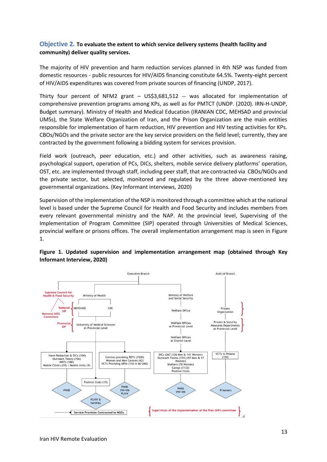## **Objective 2***.* **To evaluate the extent to which service delivery systems (health facility and community) deliver quality services.**

The majority of HIV prevention and harm reduction services planned in 4th NSP was funded from domestic resources - public resources for HIV/AIDS financing constitute 64.5%. Twenty-eight percent of HIV/AIDS expenditures was covered from private sources of financing (UNDP, 2017).

Thirty four percent of NFM2 grant – US\$3,681,512 -- was allocated for implementation of comprehensive prevention programs among KPs, as well as for PMTCT (UNDP. (2020). IRN-H-UNDP, Budget summary). Ministry of Health and Medical Education (IRANIAN CDC, MEHSAD and provincial UMSs), the State Welfare Organization of Iran, and the Prison Organization are the main entities responsible for implementation of harm reduction, HIV prevention and HIV testing activities for KPs. CBOs/NGOs and the private sector are the key service providers on the field level; currently, they are contracted by the government following a bidding system for services provision.

Field work (outreach, peer education, etc.) and other activities, such as awareness raising, psychological support, operation of PCs, DICs, shelters, mobile service delivery platforms' operation, OST, etc. are implemented through staff, including peer staff, that are contracted via CBOs/NGOs and the private sector, but selected, monitored and regulated by the three above-mentioned key governmental organizations. (Key Informant interviews, 2020)

Supervision of the implementation of the NSP is monitored through a committee which at the national level is based under the Supreme Council for Health and Food Security and includes members from every relevant governmental ministry and the NAP. At the provincial level, Supervising of the Implementation of Program Committee (SIP) operated through Universities of Medical Sciences, provincial welfare or prisons offices. The overall implementation arrangement map is seen in Figure 1.



**Figure 1. Updated supervision and implementation arrangement map (obtained through Key Informant Interview, 2020)**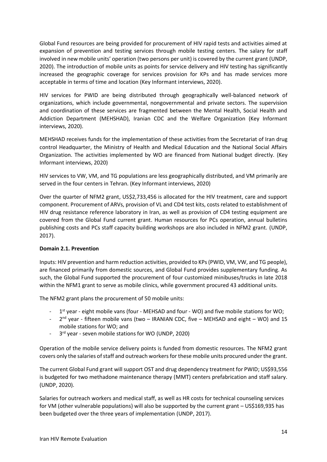Global Fund resources are being provided for procurement of HIV rapid tests and activities aimed at expansion of prevention and testing services through mobile testing centers. The salary for staff involved in new mobile units' operation (two persons per unit) is covered by the current grant (UNDP, 2020). The introduction of mobile units as points for service delivery and HIV testing has significantly increased the geographic coverage for services provision for KPs and has made services more acceptable in terms of time and location (Key Informant interviews, 2020).

HIV services for PWID are being distributed through geographically well-balanced network of organizations, which include governmental, nongovernmental and private sectors. The supervision and coordination of these services are fragmented between the Mental Health, Social Health and Addiction Department (MEHSHAD), Iranian CDC and the Welfare Organization (Key Informant interviews, 2020).

MEHSHAD receives funds for the implementation of these activities from the Secretariat of Iran drug control Headquarter, the Ministry of Health and Medical Education and the National Social Affairs Organization. The activities implemented by WO are financed from National budget directly. (Key Informant interviews, 2020)

HIV services to VW, VM, and TG populations are less geographically distributed, and VM primarily are served in the four centers in Tehran. (Key Informant interviews, 2020)

Over the quarter of NFM2 grant, US\$2,733,456 is allocated for the HIV treatment, care and support component. Procurement of ARVs, provision of VL and CD4 test kits, costs related to establishment of HIV drug resistance reference laboratory in Iran, as well as provision of CD4 testing equipment are covered from the Global Fund current grant. Human resources for PCs operation, annual bulletins publishing costs and PCs staff capacity building workshops are also included in NFM2 grant. (UNDP, 2017).

## **Domain 2.1. Prevention**

Inputs: HIV prevention and harm reduction activities, provided to KPs (PWID, VM, VW, and TG people), are financed primarily from domestic sources, and Global Fund provides supplementary funding. As such, the Global Fund supported the procurement of four customized minibuses/trucks in late 2018 within the NFM1 grant to serve as mobile clinics, while government procured 43 additional units.

The NFM2 grant plans the procurement of 50 mobile units:

- 1<sup>st</sup> year eight mobile vans (four MEHSAD and four WO) and five mobile stations for WO;
- 2<sup>nd</sup> year fifteen mobile vans (two IRANIAN CDC, five MEHSAD and eight WO) and 15 mobile stations for WO; and
- 3<sup>rd</sup> year seven mobile stations for WO (UNDP, 2020)

Operation of the mobile service delivery points is funded from domestic resources. The NFM2 grant covers only the salaries of staff and outreach workers for these mobile units procured under the grant.

The current Global Fund grant will support OST and drug dependency treatment for PWID; US\$93,556 is budgeted for two methadone maintenance therapy (MMT) centers prefabrication and staff salary. (UNDP, 2020).

Salaries for outreach workers and medical staff, as well as HR costs for technical counseling services for VM (other vulnerable populations) will also be supported by the current grant – US\$169,935 has been budgeted over the three years of implementation (UNDP, 2017).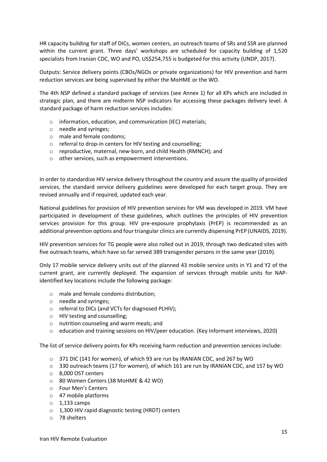HR capacity building for staff of DICs, women centers, an outreach teams of SRs and SSR are planned within the current grant. Three days' workshops are scheduled for capacity building of 1,520 specialists from Iranian CDC, WO and PO, US\$254,755 is budgeted for this activity (UNDP, 2017).

Outputs: Service delivery points (CBOs/NGOs or private organizations) for HIV prevention and harm reduction services are being supervised by either the MoHME or the WO.

The 4th NSP defined a standard package of services (see Annex 1) for all KPs which are included in strategic plan, and there are midterm NSP indicators for accessing these packages delivery level. A standard package of harm reduction services includes:

- o information, education, and communication (IEC) materials;
- o needle and syringes;
- o male and female condoms;
- o referral to drop-in centers for HIV testing and counselling;
- o reproductive, maternal, new-born, and child Health (RMNCH); and
- o other services, such as empowerment interventions.

In order to standardize HIV service delivery throughout the country and assure the quality of provided services, the standard service delivery guidelines were developed for each target group. They are revised annually and if required, updated each year.

National guidelines for provision of HIV prevention services for VM was developed in 2019. VM have participated in development of these guidelines, which outlines the principles of HIV prevention services provision for this group. HIV pre-exposure prophylaxis (PrEP) is recommended as an additional prevention options and four triangular clinics are currently dispensing PrEP (UNAIDS, 2019).

HIV prevention services for TG people were also rolled out in 2019, through two dedicated sites with five outreach teams, which have so far served 389 transgender persons in the same year (2019).

Only 17 mobile service delivery units out of the planned 43 mobile service units in Y1 and Y2 of the current grant, are currently deployed. The expansion of services through mobile units for NAPidentified key locations include the following package:

- o male and female condoms distribution;
- o needle and syringes;
- o referral to DICs (and VCTs for diagnosed PLHIV);
- o HIV testing and counselling;
- o nutrition counseling and warm meals; and
- o education and training sessions on HIV/peer education. (Key Informant interviews, 2020)

The list of service delivery points for KPs receiving harm reduction and prevention services include:

- o 371 DIC (141 for women), of which 93 are run by IRANIAN CDC, and 267 by WO
- o 330 outreach teams (17 for women), of which 161 are run by IRANIAN CDC, and 157 by WO
- o 8,000 OST centers
- o 80 Women Centers (38 MoHME & 42 WO)
- o Four Men's Centers
- o 47 mobile platforms
- $\circ$  1.133 camps
- o 1,300 HIV rapid diagnostic testing (HRDT) centers
- o 78 shelters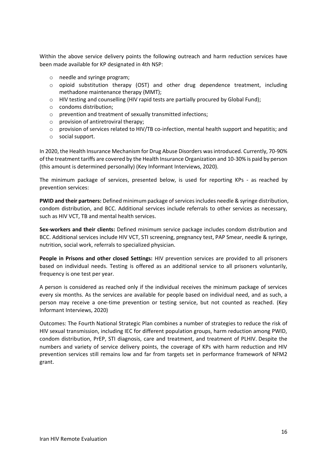Within the above service delivery points the following outreach and harm reduction services have been made available for KP designated in 4th NSP:

- o needle and syringe program;
- $\circ$  opioid substitution therapy (OST) and other drug dependence treatment, including methadone maintenance therapy (MMT);
- $\circ$  HIV testing and counselling (HIV rapid tests are partially procured by Global Fund);
- o condoms distribution;
- o prevention and treatment of sexually transmitted infections;
- o provision of antiretroviral therapy;
- $\circ$  provision of services related to HIV/TB co-infection, mental health support and hepatitis; and
- o social support.

In 2020, the Health Insurance Mechanism for Drug Abuse Disorders was introduced. Currently, 70-90% of the treatment tariffs are covered by the Health Insurance Organization and 10-30% is paid by person (this amount is determined personally) (Key Informant Interviews, 2020).

The minimum package of services, presented below, is used for reporting KPs - as reached by prevention services:

**PWID and their partners:** Defined minimum package of services includes needle & syringe distribution, condom distribution, and BCC. Additional services include referrals to other services as necessary, such as HIV VCT, TB and mental health services.

**Sex-workers and their clients:** Defined minimum service package includes condom distribution and BCC. Additional services include HIV VCT, STI screening, pregnancy test, PAP Smear, needle & syringe, nutrition, social work, referrals to specialized physician.

**People in Prisons and other closed Settings:** HIV prevention services are provided to all prisoners based on individual needs. Testing is offered as an additional service to all prisoners voluntarily, frequency is one test per year.

A person is considered as reached only if the individual receives the minimum package of services every six months. As the services are available for people based on individual need, and as such, a person may receive a one-time prevention or testing service, but not counted as reached. (Key Informant Interviews, 2020)

Outcomes: The Fourth National Strategic Plan combines a number of strategies to reduce the risk of HIV sexual transmission, including IEC for different population groups, harm reduction among PWID, condom distribution, PrEP, STI diagnosis, care and treatment, and treatment of PLHIV. Despite the numbers and variety of service delivery points, the coverage of KPs with harm reduction and HIV prevention services still remains low and far from targets set in performance framework of NFM2 grant.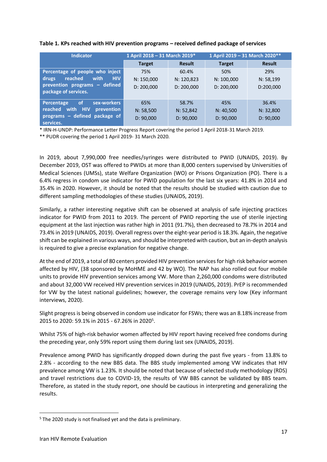| <b>Indicator</b>                       | 1 April 2018 - 31 March 2019* |               | 1 April 2019 - 31 March 2020 ** |               |
|----------------------------------------|-------------------------------|---------------|---------------------------------|---------------|
|                                        | <b>Target</b>                 | <b>Result</b> | <b>Target</b>                   | <b>Result</b> |
| Percentage of people who inject        | 75%                           | 60.4%         | 50%                             | 29%           |
| reached<br>with<br><b>HIV</b><br>drugs | N: 150,000                    | N: 120,823    | N: 100,000                      | N: 58,199     |
| prevention programs - defined          | D: 200,000                    | D: 200,000    | D: 200,000                      | D:200,000     |
| package of services.                   |                               |               |                                 |               |
| of.<br>sex-workers<br>Percentage       | 65%                           | 58.7%         | 45%                             | 36.4%         |
| reached with HIV<br>prevention         | N: 58,500                     | N: 52,842     | N: 40,500                       | N: 32,800     |
| programs - defined package of          | D: 90,000                     | D: 90,000     | D: 90,000                       | D: 90,000     |
| services.                              |                               |               |                                 |               |

### **Table 1. KPs reached with HIV prevention programs – received defined package of services**

\* IRN-H-UNDP: Performance Letter Progress Report covering the period 1 April 2018-31 March 2019.

\*\* PUDR covering the period 1 April 2019- 31 March 2020.

In 2019, about 7,990,000 free needles/syringes were distributed to PWID (UNAIDS, 2019). By December 2019, OST was offered to PWIDs at more than 8,000 centers supervised by Universities of Medical Sciences (UMSs), state Welfare Organization (WO) or Prisons Organization (PO). There is a 6.4% regress in condom use indicator for PWID population for the last six years: 41.8% in 2014 and 35.4% in 2020. However, it should be noted that the results should be studied with caution due to different sampling methodologies of these studies (UNAIDS, 2019).

Similarly, a rather interesting negative shift can be observed at analysis of safe injecting practices indicator for PWID from 2011 to 2019. The percent of PWID reporting the use of sterile injecting equipment at the last injection was rather high in 2011 (91.7%), then decreased to 78.7% in 2014 and 73.4% in 2019 (UNAIDS, 2019). Overall regress overthe eight-year period is 18.3%. Again, the negative shift can be explained in various ways, and should be interpreted with caution, but an in-depth analysis is required to give a precise explanation for negative change.

At the end of 2019, a total of 80 centers provided HIV prevention services for high risk behavior women affected by HIV, (38 sponsored by MoHME and 42 by WO). The NAP has also rolled out four mobile units to provide HIV prevention services among VW. More than 2,260,000 condoms were distributed and about 32,000 VW received HIV prevention services in 2019 (UNAIDS, 2019). PrEP is recommended for VW by the latest national guidelines; however, the coverage remains very low (Key informant interviews, 2020).

Slight progress is being observed in condom use indicator for FSWs; there was an 8.18% increase from 2015 to 2020: 59.1% in 2015 - 67.26% in 2020<sup>5</sup>.

Whilst 75% of high-risk behavior women affected by HIV report having received free condoms during the preceding year, only 59% report using them during last sex (UNAIDS, 2019).

Prevalence among PWID has significantly dropped down during the past five years - from 13.8% to 2.8% - according to the new BBS data. The BBS study implemented among VW indicates that HIV prevalence among VW is 1.23%. It should be noted that because of selected study methodology (RDS) and travel restrictions due to COVID-19, the results of VW BBS cannot be validated by BBS team. Therefore, as stated in the study report, one should be cautious in interpreting and generalizing the results.

<sup>&</sup>lt;sup>5</sup> The 2020 study is not finalised yet and the data is preliminary.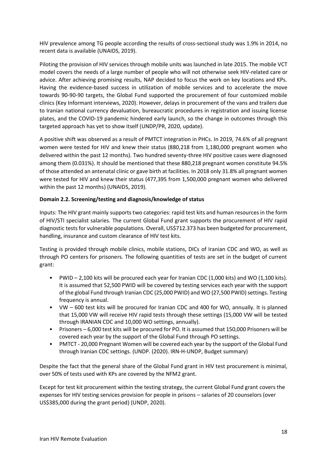HIV prevalence among TG people according the results of cross-sectional study was 1.9% in 2014, no recent data is available (UNAIDS, 2019).

Piloting the provision of HIV services through mobile units was launched in late 2015. The mobile VCT model covers the needs of a large number of people who will not otherwise seek HIV-related care or advice. After achieving promising results, NAP decided to focus the work on key locations and KPs. Having the evidence-based success in utilization of mobile services and to accelerate the move towards 90-90-90 targets, the Global Fund supported the procurement of four customized mobile clinics (Key Informant interviews, 2020). However, delays in procurement of the vans and trailers due to Iranian national currency devaluation, bureaucratic procedures in registration and issuing license plates, and the COVID-19 pandemic hindered early launch, so the change in outcomes through this targeted approach has yet to show itself (UNDP/PR, 2020, update).

A positive shift was observed as a result of PMTCT integration in PHCs. In 2019, 74.6% of all pregnant women were tested for HIV and knew their status (880,218 from 1,180,000 pregnant women who delivered within the past 12 months). Two hundred seventy-three HIV positive cases were diagnosed among them (0.031%). It should be mentioned that these 880,218 pregnant women constitute 94.5% of those attended an antenatal clinic or gave birth at facilities. In 2018 only 31.8% all pregnant women were tested for HIV and knew their status (477,395 from 1,500,000 pregnant women who delivered within the past 12 months) (UNAIDS, 2019).

## **Domain 2.2. Screening/testing and diagnosis/knowledge of status**

Inputs: The HIV grant mainly supports two categories: rapid test kits and human resources in the form of HIV/STI specialist salaries. The current Global Fund grant supports the procurement of HIV rapid diagnostic tests for vulnerable populations. Overall, US\$712.373 has been budgeted for procurement, handling, insurance and custom clearance of HIV test kits.

Testing is provided through mobile clinics, mobile stations, DICs of Iranian CDC and WO, as well as through PO centers for prisoners. The following quantities of tests are set in the budget of current grant:

- PWID 2,100 kits will be procured each year for Iranian CDC (1,000 kits) and WO (1,100 kits). It is assumed that 52,500 PWID will be covered by testing services each year with the support of the global Fund through Iranian CDC (25,000 PWID) and WO (27,500 PWID) settings. Testing frequency is annual.
- VW 600 test kits will be procured for Iranian CDC and 400 for WO, annually. It is planned that 15,000 VW will receive HIV rapid tests through these settings (15,000 VW will be tested through IRANIAN CDC and 10,000 WO settings, annually).
- Prisoners 6,000 test kits will be procured for PO. It is assumed that 150,000 Prisoners will be covered each year by the support of the Global Fund through PO settings.
- PMTCT 20,000 Pregnant Women will be covered each year by the support of the Global Fund through Iranian CDC settings. (UNDP. (2020). IRN-H-UNDP, Budget summary)

Despite the fact that the general share of the Global Fund grant in HIV test procurement is minimal, over 50% of tests used with KPs are covered by the NFM2 grant.

Except for test kit procurement within the testing strategy, the current Global Fund grant covers the expenses for HIV testing services provision for people in prisons – salaries of 20 counselors (over US\$385,000 during the grant period) (UNDP, 2020).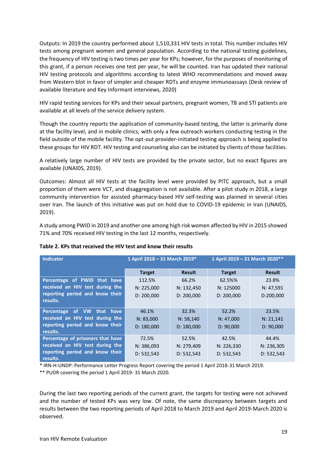Outputs: In 2019 the country performed about 1,510,331 HIV tests in total. This number includes HIV tests among pregnant women and general population. According to the national testing guidelines, the frequency of HIV testing is two times per year for KPs; however, for the purposes of monitoring of this grant, if a person receives one test per year, he will be counted. Iran has updated their national HIV testing protocols and algorithms according to latest WHO recommendations and moved away from Western blot in favor of simpler and cheaper RDTs and enzyme immunoassays (Desk review of available literature and Key Informant interviews, 2020)

HIV rapid testing services for KPs and their sexual partners, pregnant women, TB and STI patients are available at all levels of the service delivery system.

Though the country reports the application of community-based testing, the latter is primarily done at the facility level, and in mobile clinics, with only a few outreach workers conducting testing in the field outside of the mobile facility. The opt-out provider-initiated testing approach is being applied to these groups for HIV RDT. HIV testing and counseling also can be initiated by clients of those facilities.

A relatively large number of HIV tests are provided by the private sector, but no exact figures are available (UNAIDS, 2019).

Outcomes: Almost all HIV tests at the facility level were provided by PITC approach, but a small proportion of them were VCT, and disaggregation is not available. After a pilot study in 2018, a large community intervention for assisted pharmacy-based HIV self-testing was planned in several cities over Iran. The launch of this initiative was put on hold due to COVID-19 epidemic in Iran (UNAIDS, 2019).

A study among PWID in 2019 and another one among high risk women affected by HIV in 2015 showed 71% and 70% received HIV testing in the last 12 months, respectively.

| <b>Indicator</b>                            | 1 April 2018 - 31 March 2019* |               | 1 April 2019 - 31 March 2020** |               |
|---------------------------------------------|-------------------------------|---------------|--------------------------------|---------------|
|                                             | <b>Target</b>                 | <b>Result</b> | <b>Target</b>                  | <b>Result</b> |
| Percentage of PWID that have                | 112.5%                        | 66.2%         | 62.5%%                         | 23.8%         |
| received an HIV test during the             | N: 225,000                    | N: 132,450    | N: 125000                      | N: 47,591     |
| reporting period and know their             | D: 200,000                    | D: 200,000    | D: 200,000                     | D:200,000     |
| results.                                    |                               |               |                                |               |
| VW that have<br>Percentage of               | 46.1%                         | 32.3%         | 52.2%                          | 23.5%         |
| received an HIV test during the             | N: 83,000                     | N: 58,140     | N: 47,000                      | N: 21,141     |
| reporting period and know their<br>results. | D: 180.000                    | D: 180.000    | D: 90,000                      | D: 90.000     |
|                                             | 72.5%                         | 52.5%         | 42.5%                          | 44.4%         |
| Percentage of prisoners that have           |                               |               |                                |               |
| received an HIV test during the             | N: 386,093                    | N: 279,409    | N: 226,330                     | N: 236,305    |
| reporting period and know their             | D: 532,543                    | D: 532,543    | D: 532, 543                    | D: 532, 543   |
| results.                                    |                               |               |                                |               |

### **Table 2. KPs that received the HIV test and know their results**

\* IRN-H-UNDP: Performance Letter Progress Report covering the period 1 April 2018-31 March 2019.

\*\* PUDR covering the period 1 April 2019- 31 March 2020.

During the last two reporting periods of the current grant, the targets for testing were not achieved and the number of tested KPs was very low. Of note, the same discrepancy between targets and results between the two reporting periods of April 2018 to March 2019 and April 2019-March 2020 is observed.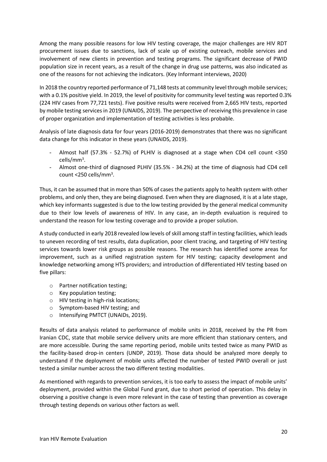Among the many possible reasons for low HIV testing coverage, the major challenges are HIV RDT procurement issues due to sanctions, lack of scale up of existing outreach, mobile services and involvement of new clients in prevention and testing programs. The significant decrease of PWID population size in recent years, as a result of the change in drug use patterns, was also indicated as one of the reasons for not achieving the indicators. (Key Informant interviews, 2020)

In 2018 the country reported performance of 71,148 tests at community level through mobile services; with a 0.1% positive yield. In 2019, the level of positivity for community level testing was reported 0.3% (224 HIV cases from 77,721 tests). Five positive results were received from 2,665 HIV tests, reported by mobile testing services in 2019 (UNAIDS, 2019). The perspective of receiving this prevalence in case of proper organization and implementation of testing activities is less probable.

Analysis of late diagnosis data for four years (2016-2019) demonstrates that there was no significant data change for this indicator in these years (UNAIDS, 2019).

- Almost half (57.3% 52.7%) of PLHIV is diagnosed at a stage when CD4 cell count <350 cells/mm<sup>3</sup> .
- Almost one-third of diagnosed PLHIV (35.5% 34.2%) at the time of diagnosis had CD4 cell count <250 cells/mm<sup>3</sup>.

Thus, it can be assumed that in more than 50% of cases the patients apply to health system with other problems, and only then, they are being diagnosed. Even when they are diagnosed, it is at a late stage, which key informants suggested is due to the low testing provided by the general medical community due to their low levels of awareness of HIV. In any case, an in-depth evaluation is required to understand the reason for low testing coverage and to provide a proper solution.

A study conducted in early 2018 revealed low levels of skill among staff in testing facilities, which leads to uneven recording of test results, data duplication, poor client tracing, and targeting of HIV testing services towards lower risk groups as possible reasons. The research has identified some areas for improvement, such as a unified registration system for HIV testing; capacity development and knowledge networking among HTS providers; and introduction of differentiated HIV testing based on five pillars:

- o Partner notification testing;
- o Key population testing;
- o HIV testing in high-risk locations;
- o Symptom-based HIV testing; and
- o Intensifying PMTCT (UNAIDs, 2019).

Results of data analysis related to performance of mobile units in 2018, received by the PR from Iranian CDC, state that mobile service delivery units are more efficient than stationary centers, and are more accessible. During the same reporting period, mobile units tested twice as many PWID as the facility-based drop-in centers (UNDP, 2019). Those data should be analyzed more deeply to understand if the deployment of mobile units affected the number of tested PWID overall or just tested a similar number across the two different testing modalities.

As mentioned with regards to prevention services, it is too early to assess the impact of mobile units' deployment, provided within the Global Fund grant, due to short period of operation. This delay in observing a positive change is even more relevant in the case of testing than prevention as coverage through testing depends on various other factors as well.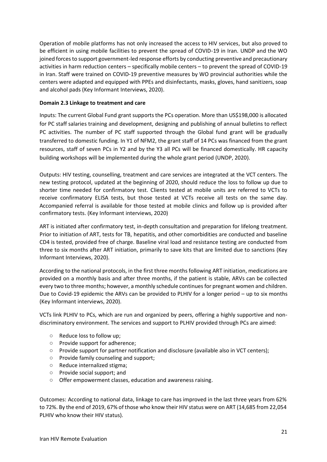Operation of mobile platforms has not only increased the access to HIV services, but also proved to be efficient in using mobile facilities to prevent the spread of COVID-19 in Iran. UNDP and the WO joined forces to support government-led response efforts by conducting preventive and precautionary activities in harm reduction centers – specifically mobile centers – to prevent the spread of COVID-19 in Iran. Staff were trained on COVID-19 preventive measures by WO provincial authorities while the centers were adapted and equipped with PPEs and disinfectants, masks, gloves, hand sanitizers, soap and alcohol pads (Key Informant Interviews, 2020).

## **Domain 2.3 Linkage to treatment and care**

Inputs: The current Global Fund grant supports the PCs operation. More than US\$198,000 is allocated for PC staff salaries training and development, designing and publishing of annual bulletins to reflect PC activities. The number of PC staff supported through the Global fund grant will be gradually transferred to domestic funding. In Y1 of NFM2, the grant staff of 14 PCs was financed from the grant resources, staff of seven PCs in Y2 and by the Y3 all PCs will be financed domestically. HR capacity building workshops will be implemented during the whole grant period (UNDP, 2020).

Outputs: HIV testing, counselling, treatment and care services are integrated at the VCT centers. The new testing protocol, updated at the beginning of 2020, should reduce the loss to follow up due to shorter time needed for confirmatory test. Clients tested at mobile units are referred to VCTs to receive confirmatory ELISA tests, but those tested at VCTs receive all tests on the same day. Accompanied referral is available for those tested at mobile clinics and follow up is provided after confirmatory tests. (Key Informant interviews, 2020)

ART is initiated after confirmatory test, in-depth consultation and preparation for lifelong treatment. Prior to initiation of ART, tests for TB, hepatitis, and other comorbidities are conducted and baseline CD4 is tested, provided free of charge. Baseline viral load and resistance testing are conducted from three to six months after ART initiation, primarily to save kits that are limited due to sanctions (Key Informant Interviews, 2020).

According to the national protocols, in the first three months following ART initiation, medications are provided on a monthly basis and after three months, if the patient is stable, ARVs can be collected every two to three months; however, a monthly schedule continues for pregnant women and children. Due to Covid-19 epidemic the ARVs can be provided to PLHIV for a longer period – up to six months (Key Informant interviews, 2020).

VCTs link PLHIV to PCs, which are run and organized by peers, offering a highly supportive and nondiscriminatory environment. The services and support to PLHIV provided through PCs are aimed:

- Reduce loss to follow up;
- Provide support for adherence;
- Provide support for partner notification and disclosure (available also in VCT centers);
- Provide family counseling and support;
- Reduce internalized stigma;
- Provide social support; and
- Offer empowerment classes, education and awareness raising.

Outcomes: According to national data, linkage to care has improved in the last three years from 62% to 72%. By the end of 2019, 67% of those who know their HIV status were on ART (14,685 from 22,054 PLHIV who know their HIV status).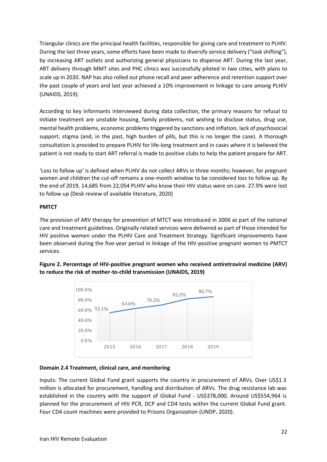Triangular clinics are the principal health facilities, responsible for giving care and treatment to PLHIV. During the last three years, some efforts have been made to diversify service delivery ("task shifting"), by increasing ART outlets and authorizing general physicians to dispense ART. During the last year, ART delivery through MMT sites and PHC clinics was successfully piloted in two cities, with plans to scale up in 2020. NAP has also rolled out phone recall and peer adherence and retention support over the past couple of years and last year achieved a 10% improvement in linkage to care among PLHIV (UNAIDS, 2019).

According to key informants interviewed during data collection, the primary reasons for refusal to initiate treatment are unstable housing, family problems, not wishing to disclose status, drug use, mental health problems, economic problems triggered by sanctions and inflation, lack of psychosocial support, stigma (and, in the past, high burden of pills, but this is no longer the case). A thorough consultation is provided to prepare PLHIV for life-long treatment and in cases where it is believed the patient is not ready to start ART referral is made to positive clubs to help the patient prepare for ART.

'Loss to follow up' is defined when PLHIV do not collect ARVs in three months; however, for pregnant women and children the cut-off remains a one-month window to be considered loss to follow up. By the end of 2019, 14,685 from 22,054 PLHIV who know their HIV status were on care. 27.9% were lost to follow up (Desk review of available literature, 2020)

## **PMTCT**

The provision of ARV therapy for prevention of MTCT was introduced in 2006 as part of the national care and treatment guidelines. Originally related services were delivered as part of those intended for HIV positive women under the PLHIV Care and Treatment Strategy. Significant improvements have been observed during the five-year period in linkage of the HIV-positive pregnant women to PMTCT services.

## **Figure 2. Percentage of HIV-positive pregnant women who received antiretroviral medicine (ARV) to reduce the risk of mother-to-child transmission (UNAIDS, 2019)**



### **Domain 2.4 Treatment, clinical care, and monitoring**

Inputs: The current Global Fund grant supports the country in procurement of ARVs. Over US\$1.3 million is allocated for procurement, handling and distribution of ARVs. The drug resistance lab was established in the country with the support of Global Fund - US\$378,000. Around US\$554,964 is planned for the procurement of HIV PCR, DCP and CD4 tests within the current Global Fund grant. Four CD4 count machines were provided to Prisons Organization (UNDP, 2020).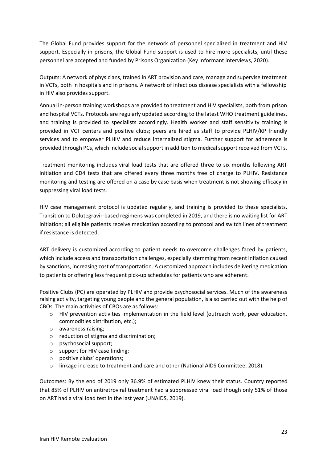The Global Fund provides support for the network of personnel specialized in treatment and HIV support. Especially in prisons, the Global Fund support is used to hire more specialists, until these personnel are accepted and funded by Prisons Organization (Key Informant interviews, 2020).

Outputs: A network of physicians, trained in ART provision and care, manage and supervise treatment in VCTs, both in hospitals and in prisons. A network of infectious disease specialists with a fellowship in HIV also provides support.

Annual in-person training workshops are provided to treatment and HIV specialists, both from prison and hospital VCTs. Protocols are regularly updated according to the latest WHO treatment guidelines, and training is provided to specialists accordingly. Health worker and staff sensitivity training is provided in VCT centers and positive clubs; peers are hired as staff to provide PLHIV/KP friendly services and to empower PLHIV and reduce internalized stigma. Further support for adherence is provided through PCs, which include social support in addition to medical support received from VCTs.

Treatment monitoring includes viral load tests that are offered three to six months following ART initiation and CD4 tests that are offered every three months free of charge to PLHIV. Resistance monitoring and testing are offered on a case by case basis when treatment is not showing efficacy in suppressing viral load tests.

HIV case management protocol is updated regularly, and training is provided to these specialists. Transition to Dolutegravir-based regimens was completed in 2019, and there is no waiting list for ART initiation; all eligible patients receive medication according to protocol and switch lines of treatment if resistance is detected.

ART delivery is customized according to patient needs to overcome challenges faced by patients, which include access and transportation challenges, especially stemming from recent inflation caused by sanctions, increasing cost of transportation. A customized approach includes delivering medication to patients or offering less frequent pick-up schedules for patients who are adherent.

Positive Clubs (PC) are operated by PLHIV and provide psychosocial services. Much of the awareness raising activity, targeting young people and the general population, is also carried out with the help of CBOs. The main activities of CBOs are as follows:

- o HIV prevention activities implementation in the field level (outreach work, peer education, commodities distribution, etc.);
- o awareness raising;
- o reduction of stigma and discrimination;
- o psychosocial support;
- o support for HIV case finding;
- o positive clubs' operations;
- o linkage increase to treatment and care and other (National AIDS Committee, 2018).

Outcomes: By the end of 2019 only 36.9% of estimated PLHIV knew their status. Country reported that 85% of PLHIV on antiretroviral treatment had a suppressed viral load though only 51% of those on ART had a viral load test in the last year (UNAIDS, 2019).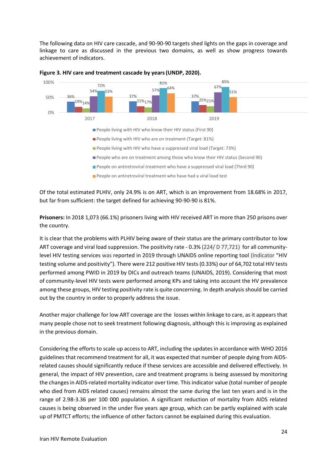The following data on HIV care cascade, and 90-90-90 targets shed lights on the gaps in coverage and linkage to care as discussed in the previous two domains, as well as show progress towards achievement of indicators.





Of the total estimated PLHIV, only 24.9% is on ART, which is an improvement from 18.68% in 2017, but far from sufficient: the target defined for achieving 90-90-90 is 81%.

**Prisoners:** In 2018 1,073 (66.1%) prisoners living with HIV received ART in more than 250 prisons over the country.

It is clear that the problems with PLHIV being aware of their status are the primary contributor to low ART coverage and viral load suppression. The positivity rate - 0.3% (224/ D 77,721) for all communitylevel HIV testing services was reported in 2019 through UNAIDS online reporting tool (Indicator "HIV testing volume and positivity"). There were 212 positive HIV tests (0.33%) our of 64,702 total HIV tests performed among PWID in 2019 by DICs and outreach teams (UNAIDS, 2019). Considering that most of community-level HIV tests were performed among KPs and taking into account the HV prevalence among these groups, HIV testing positivity rate is quite concerning. In depth analysis should be carried out by the country in order to properly address the issue.

Another major challenge for low ART coverage are the losses within linkage to care, as it appears that many people chose not to seek treatment following diagnosis, although this is improving as explained in the previous domain.

Considering the efforts to scale up access to ART, including the updates in accordance with WHO 2016 guidelines that recommend treatment for all, it was expected that number of people dying from AIDSrelated causes should significantly reduce if these services are accessible and delivered effectively. In general, the impact of HIV prevention, care and treatment programs is being assessed by monitoring the changes in AIDS-related mortality indicator over time. This indicator value (total number of people who died from AIDS related causes) remains almost the same during the last ten years and is in the range of 2.98-3.36 per 100 000 population. A significant reduction of mortality from AIDS related causes is being observed in the under five years age group, which can be partly explained with scale up of PMTCT efforts; the influence of other factors cannot be explained during this evaluation.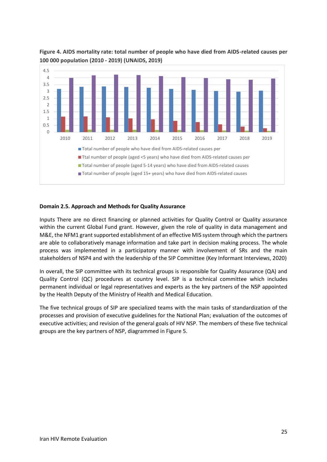

## **Figure 4. AIDS mortality rate: total number of people who have died from AIDS-related causes per 100 000 population (2010 - 2019) (UNAIDS, 2019)**

## **Domain 2.5. Approach and Methods for Quality Assurance**

Inputs There are no direct financing or planned activities for Quality Control or Quality assurance within the current Global Fund grant. However, given the role of quality in data management and M&E, the NFM1 grant supported establishment of an effective MIS system through which the partners are able to collaboratively manage information and take part in decision making process. The whole process was implemented in a participatory manner with involvement of SRs and the main stakeholders of NSP4 and with the leadership of the SIP Committee (Key Informant Interviews, 2020)

In overall, the SIP committee with its technical groups is responsible for Quality Assurance (QA) and Quality Control (QC) procedures at country level. SIP is a technical committee which includes permanent individual or legal representatives and experts as the key partners of the NSP appointed by the Health Deputy of the Ministry of Health and Medical Education.

The five technical groups of SIP are specialized teams with the main tasks of standardization of the processes and provision of executive guidelines for the National Plan; evaluation of the outcomes of executive activities; and revision of the general goals of HIV NSP. The members of these five technical groups are the key partners of NSP, diagrammed in Figure 5.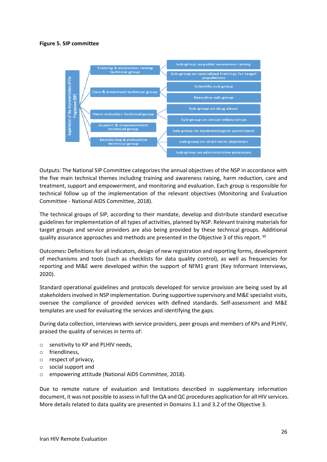#### **Figure 5. SIP committee**



Outputs: The National SIP Committee categorizes the annual objectives of the NSP in accordance with the five main technical themes including training and awareness raising, harm reduction, care and treatment, support and empowerment, and monitoring and evaluation. Each group is responsible for technical follow up of the implementation of the relevant objectives (Monitoring and Evaluation Committee - National AIDS Committee, 2018).

The technical groups of SIP, according to their mandate, develop and distribute standard executive guidelines for implementation of all types of activities, planned by NSP. Relevant training materials for target groups and service providers are also being provided by these technical groups. Additional quality assurance approaches and methods are presented in the Objective 3 of this report. 30

Outcomes**:** Definitions for all indicators, design of new registration and reporting forms, development of mechanisms and tools (such as checklists for data quality control), as well as frequencies for reporting and M&E were developed within the support of NFM1 grant (Key Informant Interviews, 2020).

Standard operational guidelines and protocols developed for service provision are being used by all stakeholders involved in NSP implementation. During supportive supervisory and M&E specialist visits, oversee the compliance of provided services with defined standards. Self-assessment and M&E templates are used for evaluating the services and identifying the gaps.

During data collection, interviews with service providers, peer groups and members of KPs and PLHIV, praised the quality of services in terms of:

- o sensitivity to KP and PLHIV needs,
- o friendliness,
- o respect of privacy,
- o social support and
- o empowering attitude (National AIDS Committee, 2018).

Due to remote nature of evaluation and limitations described in supplementary information document, it was not possible to assess in full the QA and QC procedures application for all HIV services. More details related to data quality are presented in Domains 3.1 and 3.2 of the Objective 3.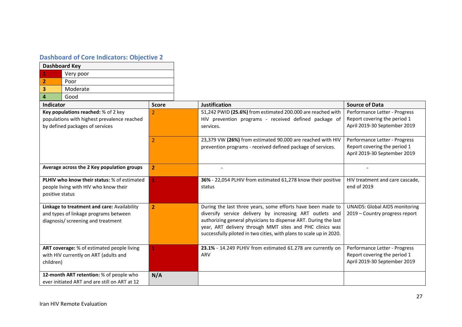## **Dashboard of Core Indicators: Objective 2**

| <b>Dashboard Key</b> |                                                                                                                            |                |                                                                                                                                                                                                                                                                                                                               |                                                                                               |
|----------------------|----------------------------------------------------------------------------------------------------------------------------|----------------|-------------------------------------------------------------------------------------------------------------------------------------------------------------------------------------------------------------------------------------------------------------------------------------------------------------------------------|-----------------------------------------------------------------------------------------------|
|                      | Very poor                                                                                                                  |                |                                                                                                                                                                                                                                                                                                                               |                                                                                               |
| 2                    | Poor                                                                                                                       |                |                                                                                                                                                                                                                                                                                                                               |                                                                                               |
| 3                    | Moderate                                                                                                                   |                |                                                                                                                                                                                                                                                                                                                               |                                                                                               |
| 4                    | Good                                                                                                                       |                |                                                                                                                                                                                                                                                                                                                               |                                                                                               |
| Indicator            |                                                                                                                            | <b>Score</b>   | <b>Justification</b>                                                                                                                                                                                                                                                                                                          | <b>Source of Data</b>                                                                         |
|                      | Key populations reached: % of 2 key<br>populations with highest prevalence reached<br>by defined packages of services      | 2              | 51,242 PWID (25.6%) from estimated 200.000 are reached with<br>HIV prevention programs - received defined package of<br>services.                                                                                                                                                                                             | Performance Letter - Progress<br>Report covering the period 1<br>April 2019-30 September 2019 |
|                      |                                                                                                                            | $\overline{2}$ | 23,379 VW (26%) from estimated 90.000 are reached with HIV<br>prevention programs - received defined package of services.                                                                                                                                                                                                     | Performance Letter - Progress<br>Report covering the period 1<br>April 2019-30 September 2019 |
|                      | Average across the 2 Key population groups                                                                                 | $\overline{2}$ |                                                                                                                                                                                                                                                                                                                               |                                                                                               |
| positive status      | <b>PLHIV who know their status: % of estimated</b><br>people living with HIV who know their                                |                | 36% - 22,054 PLHIV from estimated 61,278 know their positive<br>status                                                                                                                                                                                                                                                        | HIV treatment and care cascade,<br>end of 2019                                                |
|                      | Linkage to treatment and care: Availability<br>and types of linkage programs between<br>diagnosis/ screening and treatment | $\overline{2}$ | During the last three years, some efforts have been made to<br>diversify service delivery by increasing ART outlets and<br>authorizing general physicians to dispense ART. During the last<br>year, ART delivery through MMT sites and PHC clinics was<br>successfully piloted in two cities, with plans to scale up in 2020. | <b>UNAIDS: Global AIDS monitoring</b><br>2019 - Country progress report                       |
| children)            | ART coverage: % of estimated people living<br>with HIV currently on ART (adults and                                        |                | 23.1% - 14.249 PLHIV from estimated 61.278 are currently on<br>ARV                                                                                                                                                                                                                                                            | Performance Letter - Progress<br>Report covering the period 1<br>April 2019-30 September 2019 |
|                      | 12-month ART retention: % of people who<br>ever initiated ART and are still on ART at 12                                   | N/A            |                                                                                                                                                                                                                                                                                                                               |                                                                                               |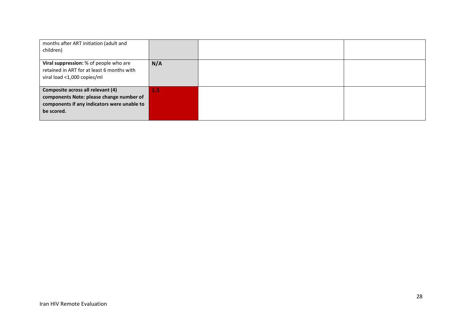| months after ART initiation (adult and<br>children)                                                                                        |     |  |
|--------------------------------------------------------------------------------------------------------------------------------------------|-----|--|
| Viral suppression: % of people who are<br>retained in ART for at least 6 months with<br>viral load <1,000 copies/ml                        | N/A |  |
| Composite across all relevant (4)<br>components Note: please change number of<br>components if any indicators were unable to<br>be scored. | 1.5 |  |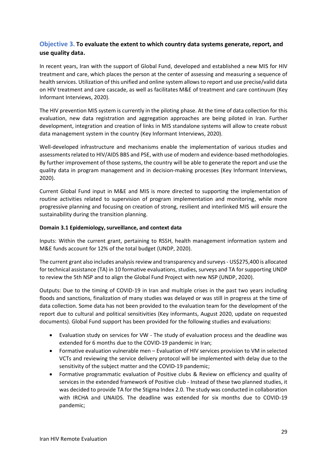## **Objective 3. To evaluate the extent to which country data systems generate, report, and use quality data.**

In recent years, Iran with the support of Global Fund, developed and established a new MIS for HIV treatment and care, which places the person at the center of assessing and measuring a sequence of health services. Utilization of this unified and online system allows to report and use precise/valid data on HIV treatment and care cascade, as well as facilitates M&E of treatment and care continuum (Key Informant Interviews, 2020).

The HIV prevention MIS system is currently in the piloting phase. At the time of data collection for this evaluation, new data registration and aggregation approaches are being piloted in Iran. Further development, integration and creation of links in MIS standalone systems will allow to create robust data management system in the country (Key Informant Interviews, 2020).

Well-developed infrastructure and mechanisms enable the implementation of various studies and assessments related to HIV/AIDS BBS and PSE, with use of modern and evidence-based methodologies. By further improvement of those systems, the country will be able to generate the report and use the quality data in program management and in decision-making processes (Key Informant Interviews, 2020).

Current Global Fund input in M&E and MIS is more directed to supporting the implementation of routine activities related to supervision of program implementation and monitoring, while more progressive planning and focusing on creation of strong, resilient and interlinked MIS will ensure the sustainability during the transition planning.

## **Domain 3.1 Epidemiology, surveillance, and context data**

Inputs: Within the current grant, pertaining to RSSH, health management information system and M&E funds account for 12% of the total budget (UNDP, 2020).

The current grant also includes analysis review and transparency and surveys- US\$275,400 is allocated for technical assistance (TA) in 10 formative evaluations, studies, surveys and TA for supporting UNDP to review the 5th NSP and to align the Global Fund Project with new NSP (UNDP, 2020).

Outputs: Due to the timing of COVID-19 in Iran and multiple crises in the past two years including floods and sanctions, finalization of many studies was delayed or was still in progress at the time of data collection. Some data has not been provided to the evaluation team for the development of the report due to cultural and political sensitivities (Key informants, August 2020, update on requested documents). Global Fund support has been provided for the following studies and evaluations:

- Evaluation study on services for VW The study of evaluation process and the deadline was extended for 6 months due to the COVID-19 pandemic in Iran;
- Formative evaluation vulnerable men Evaluation of HIV services provision to VM in selected VCTs and reviewing the service delivery protocol will be implemented with delay due to the sensitivity of the subject matter and the COVID-19 pandemic;
- Formative programmatic evaluation of Positive clubs & Review on efficiency and quality of services in the extended framework of Positive club - Instead of these two planned studies, it was decided to provide TA for the Stigma Index 2.0. The study was conducted in collaboration with IRCHA and UNAIDS. The deadline was extended for six months due to COVID-19 pandemic;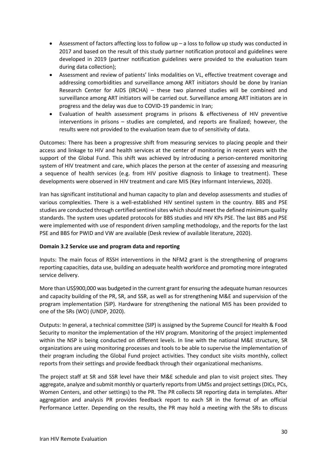- Assessment of factors affecting loss to follow up a loss to follow up study was conducted in 2017 and based on the result of this study partner notification protocol and guidelines were developed in 2019 (partner notification guidelines were provided to the evaluation team during data collection);
- Assessment and review of patients' links modalities on VL, effective treatment coverage and addressing comorbidities and surveillance among ART initiators should be done by Iranian Research Center for AIDS (IRCHA) – these two planned studies will be combined and surveillance among ART initiators will be carried out. Surveillance among ART initiators are in progress and the delay was due to COVID-19 pandemic in Iran;
- Evaluation of health assessment programs in prisons & effectiveness of HIV preventive interventions in prisons – studies are completed, and reports are finalized; however, the results were not provided to the evaluation team due to of sensitivity of data.

Outcomes: There has been a progressive shift from measuring services to placing people and their access and linkage to HIV and health services at the center of monitoring in recent years with the support of the Global Fund. This shift was achieved by introducing a person-centered monitoring system of HIV treatment and care, which places the person at the center of assessing and measuring a sequence of health services (e.g. from HIV positive diagnosis to linkage to treatment). These developments were observed in HIV treatment and care MIS (Key Informant Interviews, 2020).

Iran has significant institutional and human capacity to plan and develop assessments and studies of various complexities. There is a well-established HIV sentinel system in the country. BBS and PSE studies are conducted through certified sentinel sites which should meet the defined minimum quality standards. The system uses updated protocols for BBS studies and HIV KPs PSE. The last BBS and PSE were implemented with use of respondent driven sampling methodology, and the reports for the last PSE and BBS for PWID and VW are available (Desk review of available literature, 2020).

## **Domain 3.2 Service use and program data and reporting**

Inputs: The main focus of RSSH interventions in the NFM2 grant is the strengthening of programs reporting capacities, data use, building an adequate health workforce and promoting more integrated service delivery.

More than US\$900,000 was budgeted in the current grant for ensuring the adequate human resources and capacity building of the PR, SR, and SSR, as well as for strengthening M&E and supervision of the program implementation (SIP). Hardware for strengthening the national MIS has been provided to one of the SRs (WO) (UNDP, 2020).

Outputs: In general, a technical committee (SIP) is assigned by the Supreme Council for Health & Food Security to monitor the implementation of the HIV program. Monitoring of the project implemented within the NSP is being conducted on different levels. In line with the national M&E structure, SR organizations are using monitoring processes and tools to be able to supervise the implementation of their program including the Global Fund project activities. They conduct site visits monthly, collect reports from their settings and provide feedback through their organizational mechanisms.

The project staff at SR and SSR level have their M&E schedule and plan to visit project sites. They aggregate, analyze and submit monthly or quarterly reports from UMSs and project settings (DICs, PCs, Women Centers, and other settings) to the PR. The PR collects SR reporting data in templates. After aggregation and analysis PR provides feedback report to each SR in the format of an official Performance Letter. Depending on the results, the PR may hold a meeting with the SRs to discuss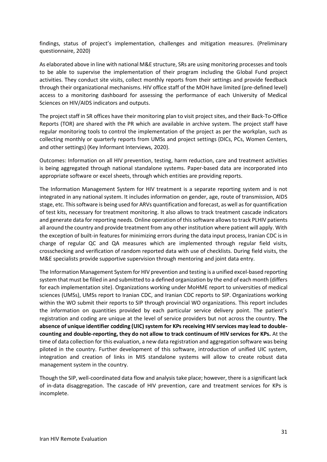findings, status of project's implementation, challenges and mitigation measures. (Preliminary questionnaire, 2020)

As elaborated above in line with national M&E structure, SRs are using monitoring processes and tools to be able to supervise the implementation of their program including the Global Fund project activities. They conduct site visits, collect monthly reports from their settings and provide feedback through their organizational mechanisms. HIV office staff of the MOH have limited (pre-defined level) access to a monitoring dashboard for assessing the performance of each University of Medical Sciences on HIV/AIDS indicators and outputs.

The project staff in SR offices have their monitoring plan to visit project sites, and their Back-To-Office Reports (TOR) are shared with the PR which are available in archive system. The project staff have regular monitoring tools to control the implementation of the project as per the workplan, such as collecting monthly or quarterly reports from UMSs and project settings (DICs, PCs, Women Centers, and other settings) (Key Informant Interviews, 2020).

Outcomes: Information on all HIV prevention, testing, harm reduction, care and treatment activities is being aggregated through national standalone systems. Paper-based data are incorporated into appropriate software or excel sheets, through which entities are providing reports.

The Information Management System for HIV treatment is a separate reporting system and is not integrated in any national system. It includes information on gender, age, route of transmission, AIDS stage, etc. This software is being used for ARVs quantification and forecast, as well as for quantification of test kits, necessary for treatment monitoring. It also allows to track treatment cascade indicators and generate data for reporting needs. Online operation of this software allows to track PLHIV patients all around the country and provide treatment from any other institution where patient will apply. With the exception of built-in features for minimizing errors during the data input process, Iranian CDC is in charge of regular QC and QA measures which are implemented through regular field visits, crosschecking and verification of random reported data with use of checklists. During field visits, the M&E specialists provide supportive supervision through mentoring and joint data entry.

The Information Management System for HIV prevention and testing is a unified excel-based reporting system that must be filled in and submitted to a defined organization by the end of each month (differs for each implementation site). Organizations working under MoHME report to universities of medical sciences (UMSs), UMSs report to Iranian CDC, and Iranian CDC reports to SIP. Organizations working within the WO submit their reports to SIP through provincial WO organizations. This report includes the information on quantities provided by each particular service delivery point. The patient's registration and coding are unique at the level of service providers but not across the country. **The**  absence of unique identifier codding (UIC) system for KPs receiving HIV services may lead to double**counting and double-reporting, they do not allow to track continuum of HIV services for KPs.** At the time of data collection for this evaluation, a new data registration and aggregation software was being piloted in the country. Further development of this software, introduction of unified UIC system, integration and creation of links in MIS standalone systems will allow to create robust data management system in the country.

Though the SIP, well-coordinated data flow and analysis take place; however, there is a significant lack of in-data disaggregation. The cascade of HIV prevention, care and treatment services for KPs is incomplete.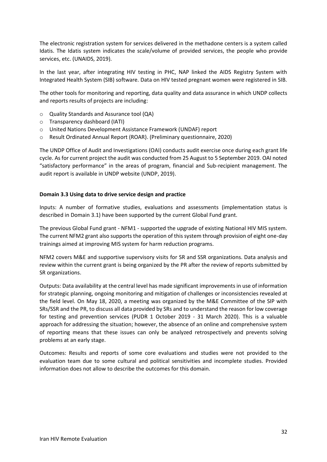The electronic registration system for services delivered in the methadone centers is a system called Idatis. The Idatis system indicates the scale/volume of provided services, the people who provide services, etc. (UNAIDS, 2019).

In the last year, after integrating HIV testing in PHC, NAP linked the AIDS Registry System with Integrated Health System (SIB) software. Data on HIV tested pregnant women were registered in SIB.

The other tools for monitoring and reporting, data quality and data assurance in which UNDP collects and reports results of projects are including:

- o Quality Standards and Assurance tool (QA)
- o Transparency dashboard (IATI)
- o United Nations Development Assistance Framework (UNDAF) report
- o Result Ordinated Annual Report (ROAR). (Preliminary questionnaire, 2020)

The UNDP Office of Audit and Investigations (OAI) conducts audit exercise once during each grant life cycle. As for current project the audit was conducted from 25 August to 5 September 2019. OAI noted "satisfactory performance" in the areas of program, financial and Sub-recipient management. The audit report is available in UNDP website (UNDP, 2019).

### **Domain 3.3 Using data to drive service design and practice**

Inputs: A number of formative studies, evaluations and assessments (implementation status is described in Domain 3.1) have been supported by the current Global Fund grant.

The previous Global Fund grant - NFM1 - supported the upgrade of existing National HIV MIS system. The current NFM2 grant also supports the operation of this system through provision of eight one-day trainings aimed at improving MIS system for harm reduction programs.

NFM2 covers M&E and supportive supervisory visits for SR and SSR organizations. Data analysis and review within the current grant is being organized by the PR after the review of reports submitted by SR organizations.

Outputs: Data availability at the central level has made significant improvements in use of information for strategic planning, ongoing monitoring and mitigation of challenges or inconsistencies revealed at the field level. On May 18, 2020, a meeting was organized by the M&E Committee of the SIP with SRs/SSR and the PR, to discuss all data provided by SRs and to understand the reason for low coverage for testing and prevention services (PUDR 1 October 2019 - 31 March 2020). This is a valuable approach for addressing the situation; however, the absence of an online and comprehensive system of reporting means that these issues can only be analyzed retrospectively and prevents solving problems at an early stage.

Outcomes: Results and reports of some core evaluations and studies were not provided to the evaluation team due to some cultural and political sensitivities and incomplete studies. Provided information does not allow to describe the outcomes for this domain.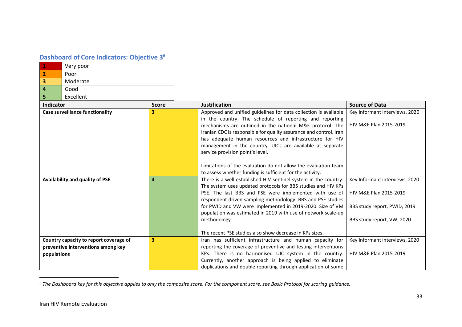## **Dashboard of Core Indicators: Objective 3<sup>6</sup>**

| Very poor |
|-----------|
| Poor      |
| Moderate  |
| Good      |
| Excellent |

| Indicator                              | <b>Score</b> | <b>Justification</b>                                               | <b>Source of Data</b>          |
|----------------------------------------|--------------|--------------------------------------------------------------------|--------------------------------|
| <b>Case surveillance functionality</b> | з            | Approved and unified guidelines for data collection is available   | Key Informant Interviews, 2020 |
|                                        |              | in the country. The schedule of reporting and reporting            |                                |
|                                        |              | mechanisms are outlined in the national M&E protocol. The          | HIV M&E Plan 2015-2019         |
|                                        |              | Iranian CDC is responsible for quality assurance and control. Iran |                                |
|                                        |              | has adequate human resources and infrastructure for HIV            |                                |
|                                        |              | management in the country. UICs are available at separate          |                                |
|                                        |              | service provision point's level.                                   |                                |
|                                        |              |                                                                    |                                |
|                                        |              | Limitations of the evaluation do not allow the evaluation team     |                                |
|                                        |              | to assess whether funding is sufficient for the activity.          |                                |
| Availability and quality of PSE        | 4            | There is a well-established HIV sentinel system in the country.    | Key Informant interviews, 2020 |
|                                        |              | The system uses updated protocols for BBS studies and HIV KPs      |                                |
|                                        |              | PSE. The last BBS and PSE were implemented with use of             | HIV M&E Plan 2015-2019         |
|                                        |              | respondent driven sampling methodology. BBS and PSE studies        |                                |
|                                        |              | for PWID and VW were implemented in 2019-2020. Size of VM          | BBS study report, PWID, 2019   |
|                                        |              | population was estimated in 2019 with use of network scale-up      |                                |
|                                        |              | methodology.                                                       | BBS study report, VW, 2020     |
|                                        |              |                                                                    |                                |
|                                        |              | The recent PSE studies also show decrease in KPs sizes.            |                                |
| Country capacity to report coverage of | 3            | Iran has sufficient infrastructure and human capacity for          | Key Informant interviews, 2020 |
| preventive interventions among key     |              | reporting the coverage of preventive and testing interventions     |                                |
| populations                            |              | KPs. There is no harmonised UIC system in the country.             | HIV M&E Plan 2015-2019         |
|                                        |              | Currently, another approach is being applied to eliminate          |                                |
|                                        |              | duplications and double reporting through application of some      |                                |

<sup>6</sup> *The Dashboard key for this objective applies to only the composite score. For the component score, see Basic Protocol for scoring guidance.*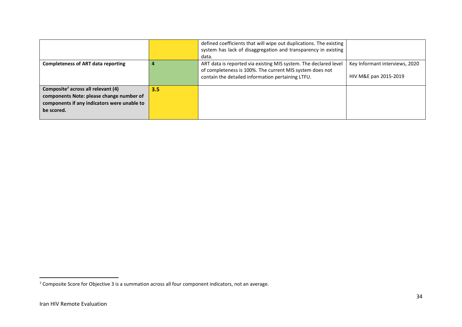|                                                                                                                                                         |     | defined coefficients that will wipe out duplications. The existing<br>system has lack of disaggregation and transparency in existing<br>data.                                     |                                                         |
|---------------------------------------------------------------------------------------------------------------------------------------------------------|-----|-----------------------------------------------------------------------------------------------------------------------------------------------------------------------------------|---------------------------------------------------------|
| <b>Completeness of ART data reporting</b>                                                                                                               |     | ART data is reported via existing MIS system. The declared level<br>of completeness is 100%. The current MIS system does not<br>contain the detailed information pertaining LTFU. | Key Informant interviews, 2020<br>HIV M&E pan 2015-2019 |
| Composite <sup>7</sup> across all relevant (4)<br>components Note: please change number of<br>components if any indicators were unable to<br>be scored. | 3.5 |                                                                                                                                                                                   |                                                         |

 $7$  Composite Score for Objective 3 is a summation across all four component indicators, not an average.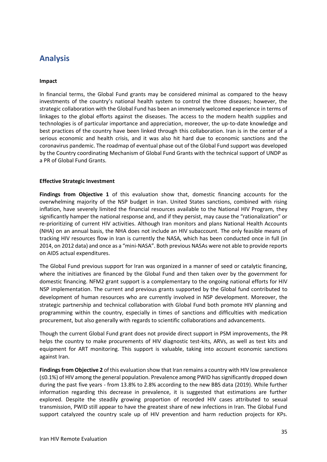## **Analysis**

### **Impact**

In financial terms, the Global Fund grants may be considered minimal as compared to the heavy investments of the country's national health system to control the three diseases; however, the strategic collaboration with the Global Fund has been an immensely welcomed experience in terms of linkages to the global efforts against the diseases. The access to the modern health supplies and technologies is of particular importance and appreciation, moreover, the up-to-date knowledge and best practices of the country have been linked through this collaboration. Iran is in the center of a serious economic and health crisis, and it was also hit hard due to economic sanctions and the coronavirus pandemic. The roadmap of eventual phase out of the Global Fund support was developed by the Country coordinating Mechanism of Global Fund Grants with the technical support of UNDP as a PR of Global Fund Grants.

## **Effective Strategic Investment**

**Findings from Objective 1** of this evaluation show that, domestic financing accounts for the overwhelming majority of the NSP budget in Iran. United States sanctions, combined with rising inflation, have severely limited the financial resources available to the National HIV Program, they significantly hamper the national response and, and if they persist, may cause the "rationalization" or re-prioritizing of current HIV activities. Although Iran monitors and plans National Health Accounts (NHA) on an annual basis, the NHA does not include an HIV subaccount. The only feasible means of tracking HIV resources flow in Iran is currently the NASA, which has been conducted once in full (in 2014, on 2012 data) and once as a "mini-NASA". Both previous NASAs were not able to provide reports on AIDS actual expenditures.

The Global Fund previous support for Iran was organized in a manner of seed or catalytic financing, where the initiatives are financed by the Global Fund and then taken over by the government for domestic financing. NFM2 grant support is a complementary to the ongoing national efforts for HIV NSP implementation. The current and previous grants supported by the Global fund contributed to development of human resources who are currently involved in NSP development. Moreover, the strategic partnership and technical collaboration with Global Fund both promote HIV planning and programming within the country, especially in times of sanctions and difficulties with medication procurement, but also generally with regards to scientific collaborations and advancements.

Though the current Global Fund grant does not provide direct support in PSM improvements, the PR helps the country to make procurements of HIV diagnostic test-kits, ARVs, as well as test kits and equipment for ART monitoring. This support is valuable, taking into account economic sanctions against Iran.

**Findings from Objective 2** of this evaluation show that Iran remains a country with HIV low prevalence (≤0.1%) of HIV among the general population. Prevalence among PWID has significantly dropped down during the past five years - from 13.8% to 2.8% according to the new BBS data (2019). While further information regarding this decrease in prevalence, it is suggested that estimations are further explored. Despite the steadily growing proportion of recorded HIV cases attributed to sexual transmission, PWID still appear to have the greatest share of new infections in Iran. The Global Fund support catalyzed the country scale up of HIV prevention and harm reduction projects for KPs.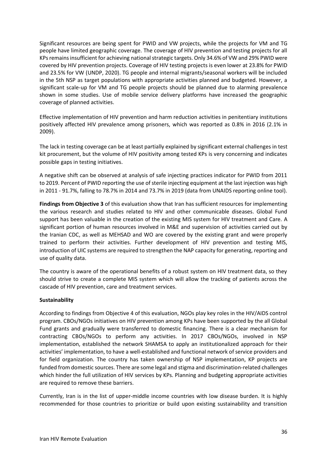Significant resources are being spent for PWID and VW projects, while the projects for VM and TG people have limited geographic coverage. The coverage of HIV prevention and testing projects for all KPs remains insufficient for achieving national strategic targets. Only 34.6% of VW and 29% PWID were covered by HIV prevention projects. Coverage of HIV testing projects is even lower at 23.8% for PWID and 23.5% for VW (UNDP, 2020). TG people and internal migrants/seasonal workers will be included in the 5th NSP as target populations with appropriate activities planned and budgeted. However, a significant scale-up for VM and TG people projects should be planned due to alarming prevalence shown in some studies. Use of mobile service delivery platforms have increased the geographic coverage of planned activities.

Effective implementation of HIV prevention and harm reduction activities in penitentiary institutions positively affected HIV prevalence among prisoners, which was reported as 0.8% in 2016 (2.1% in 2009).

The lack in testing coverage can be at least partially explained by significant external challenges in test kit procurement, but the volume of HIV positivity among tested KPs is very concerning and indicates possible gaps in testing initiatives.

A negative shift can be observed at analysis of safe injecting practices indicator for PWID from 2011 to 2019. Percent of PWID reporting the use of sterile injecting equipment at the last injection was high in 2011 - 91.7%, falling to 78.7% in 2014 and 73.7% in 2019 (data from UNAIDS reporting online tool).

**Findings from Objective 3** of this evaluation show that Iran has sufficient resources for implementing the various research and studies related to HIV and other communicable diseases. Global Fund support has been valuable in the creation of the existing MIS system for HIV treatment and Care. A significant portion of human resources involved in M&E and supervision of activities carried out by the Iranian CDC, as well as MEHSAD and WO are covered by the existing grant and were properly trained to perform their activities. Further development of HIV prevention and testing MIS, introduction of UIC systems are required to strengthen the NAP capacity for generating, reporting and use of quality data.

The country is aware of the operational benefits of a robust system on HIV treatment data, so they should strive to create a complete MIS system which will allow the tracking of patients across the cascade of HIV prevention, care and treatment services.

### **Sustainability**

According to findings from Objective 4 of this evaluation, NGOs play key roles in the HIV/AIDS control program. CBOs/NGOs initiatives on HIV prevention among KPs have been supported by the all Global Fund grants and gradually were transferred to domestic financing. There is a clear mechanism for contracting CBOs/NGOs to perform any activities. In 2017 CBOs/NGOs, involved in NSP implementation, established the network SHAMSA to apply an institutionalized approach for their activities' implementation, to have a well-established and functional network of service providers and for field organization. The country has taken ownership of NSP implementation, KP projects are funded from domestic sources. There are some legal and stigma and discrimination-related challenges which hinder the full utilization of HIV services by KPs. Planning and budgeting appropriate activities are required to remove these barriers.

Currently, Iran is in the list of upper-middle income countries with low disease burden. It is highly recommended for those countries to prioritize or build upon existing sustainability and transition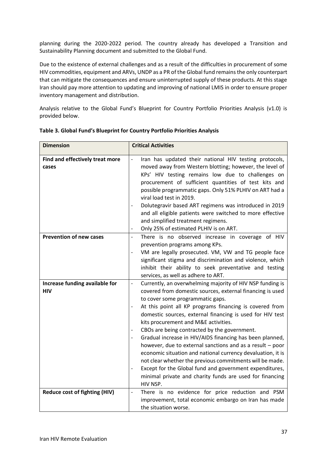planning during the 2020-2022 period. The country already has developed a Transition and Sustainability Planning document and submitted to the Global Fund.

Due to the existence of external challenges and as a result of the difficulties in procurement of some HIV commodities, equipment and ARVs, UNDP as a PR of the Global fund remains the only counterpart that can mitigate the consequences and ensure uninterrupted supply of these products. At this stage Iran should pay more attention to updating and improving of national LMIS in order to ensure proper inventory management and distribution.

Analysis relative to the Global Fund's Blueprint for Country Portfolio Priorities Analysis (v1.0) is provided below.

| <b>Dimension</b>                             | <b>Critical Activities</b>                                                                                                                                                                                                                                                                                                                                                                                                                                                                                                                                                                                                                                                                                                                                                               |
|----------------------------------------------|------------------------------------------------------------------------------------------------------------------------------------------------------------------------------------------------------------------------------------------------------------------------------------------------------------------------------------------------------------------------------------------------------------------------------------------------------------------------------------------------------------------------------------------------------------------------------------------------------------------------------------------------------------------------------------------------------------------------------------------------------------------------------------------|
| Find and effectively treat more<br>cases     | Iran has updated their national HIV testing protocols,<br>$\overline{\phantom{a}}$<br>moved away from Western blotting; however, the level of<br>KPs' HIV testing remains low due to challenges on<br>procurement of sufficient quantities of test kits and<br>possible programmatic gaps. Only 51% PLHIV on ART had a<br>viral load test in 2019.<br>Dolutegravir based ART regimens was introduced in 2019<br>$\qquad \qquad -$<br>and all eligible patients were switched to more effective<br>and simplified treatment regimens.<br>Only 25% of estimated PLHIV is on ART.                                                                                                                                                                                                           |
| <b>Prevention of new cases</b>               | There is no observed increase in coverage of HIV<br>$\blacksquare$<br>prevention programs among KPs.<br>VM are legally prosecuted. VM, VW and TG people face<br>significant stigma and discrimination and violence, which<br>inhibit their ability to seek preventative and testing<br>services, as well as adhere to ART.                                                                                                                                                                                                                                                                                                                                                                                                                                                               |
| Increase funding available for<br><b>HIV</b> | Currently, an overwhelming majority of HIV NSP funding is<br>$\qquad \qquad -$<br>covered from domestic sources, external financing is used<br>to cover some programmatic gaps.<br>At this point all KP programs financing is covered from<br>domestic sources, external financing is used for HIV test<br>kits procurement and M&E activities.<br>CBOs are being contracted by the government.<br>Gradual increase in HIV/AIDS financing has been planned,<br>however, due to external sanctions and as a result $-$ poor<br>economic situation and national currency devaluation, it is<br>not clear whether the previous commitments will be made.<br>Except for the Global fund and government expenditures,<br>minimal private and charity funds are used for financing<br>HIV NSP. |
| Reduce cost of fighting (HIV)                | There is no evidence for price reduction and PSM<br>$\overline{\phantom{a}}$<br>improvement, total economic embargo on Iran has made<br>the situation worse.                                                                                                                                                                                                                                                                                                                                                                                                                                                                                                                                                                                                                             |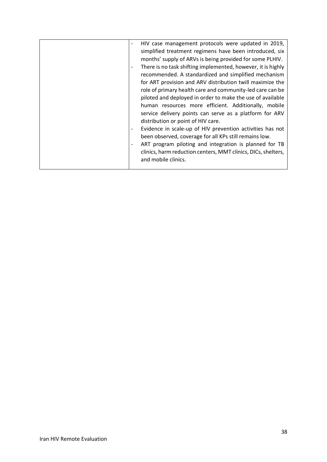|  | HIV case management protocols were updated in 2019,           |
|--|---------------------------------------------------------------|
|  | simplified treatment regimens have been introduced, six       |
|  | months' supply of ARVs is being provided for some PLHIV.      |
|  | There is no task shifting implemented, however, it is highly  |
|  | recommended. A standardized and simplified mechanism          |
|  | for ART provision and ARV distribution twill maximize the     |
|  | role of primary health care and community-led care can be     |
|  | piloted and deployed in order to make the use of available    |
|  | human resources more efficient. Additionally, mobile          |
|  | service delivery points can serve as a platform for ARV       |
|  | distribution or point of HIV care.                            |
|  | Evidence in scale-up of HIV prevention activities has not     |
|  | been observed, coverage for all KPs still remains low.        |
|  | ART program piloting and integration is planned for TB        |
|  | clinics, harm reduction centers, MMT clinics, DICs, shelters, |
|  | and mobile clinics.                                           |
|  |                                                               |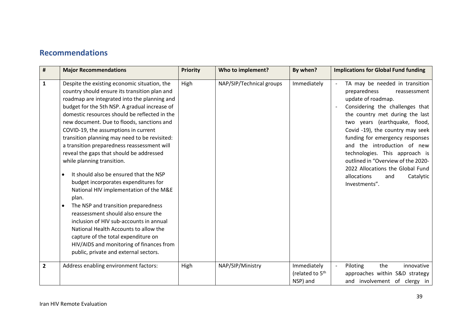## **Recommendations**

| $\sharp$       | <b>Major Recommendations</b>                                                                                                                                                                                                                                                                                                                                                                                                                                                                                                                                                                                                                                                                                                                                                                                                                                                                                                                                                 | <b>Priority</b> | Who to implement?        | By when?                                               | <b>Implications for Global Fund funding</b>                                                                                                                                                                                                                                                                                                                                                                                                                       |
|----------------|------------------------------------------------------------------------------------------------------------------------------------------------------------------------------------------------------------------------------------------------------------------------------------------------------------------------------------------------------------------------------------------------------------------------------------------------------------------------------------------------------------------------------------------------------------------------------------------------------------------------------------------------------------------------------------------------------------------------------------------------------------------------------------------------------------------------------------------------------------------------------------------------------------------------------------------------------------------------------|-----------------|--------------------------|--------------------------------------------------------|-------------------------------------------------------------------------------------------------------------------------------------------------------------------------------------------------------------------------------------------------------------------------------------------------------------------------------------------------------------------------------------------------------------------------------------------------------------------|
| $\mathbf{1}$   | Despite the existing economic situation, the<br>country should ensure its transition plan and<br>roadmap are integrated into the planning and<br>budget for the 5th NSP. A gradual increase of<br>domestic resources should be reflected in the<br>new document. Due to floods, sanctions and<br>COVID-19, the assumptions in current<br>transition planning may need to be revisited:<br>a transition preparedness reassessment will<br>reveal the gaps that should be addressed<br>while planning transition.<br>It should also be ensured that the NSP<br>$\bullet$<br>budget incorporates expenditures for<br>National HIV implementation of the M&E<br>plan.<br>The NSP and transition preparedness<br>$\bullet$<br>reassessment should also ensure the<br>inclusion of HIV sub-accounts in annual<br>National Health Accounts to allow the<br>capture of the total expenditure on<br>HIV/AIDS and monitoring of finances from<br>public, private and external sectors. | High            | NAP/SIP/Technical groups | Immediately                                            | TA may be needed in transition<br>preparedness<br>reassessment<br>update of roadmap.<br>Considering the challenges that<br>the country met during the last<br>two years (earthquake, flood,<br>Covid -19), the country may seek<br>funding for emergency responses<br>and the introduction of new<br>technologies. This approach is<br>outlined in "Overview of the 2020-<br>2022 Allocations the Global Fund<br>allocations<br>Catalytic<br>and<br>Investments". |
| $\overline{2}$ | Address enabling environment factors:                                                                                                                                                                                                                                                                                                                                                                                                                                                                                                                                                                                                                                                                                                                                                                                                                                                                                                                                        | High            | NAP/SIP/Ministry         | Immediately<br>(related to 5 <sup>th</sup><br>NSP) and | Piloting<br>the<br>innovative<br>approaches within S&D strategy<br>and involvement of clergy in                                                                                                                                                                                                                                                                                                                                                                   |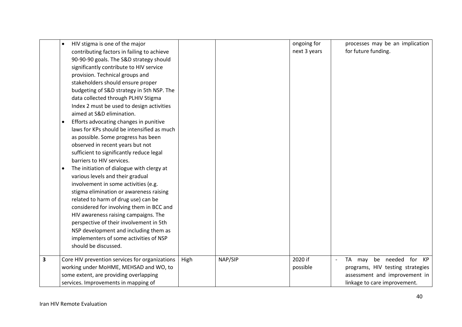|                         | HIV stigma is one of the major<br>$\bullet$<br>contributing factors in failing to achieve<br>90-90-90 goals. The S&D strategy should<br>significantly contribute to HIV service<br>provision. Technical groups and<br>stakeholders should ensure proper<br>budgeting of S&D strategy in 5th NSP. The<br>data collected through PLHIV Stigma<br>Index 2 must be used to design activities<br>aimed at S&D elimination.                                          |      |         | ongoing for<br>next 3 years | processes may be an implication<br>for future funding.                                                                                    |
|-------------------------|----------------------------------------------------------------------------------------------------------------------------------------------------------------------------------------------------------------------------------------------------------------------------------------------------------------------------------------------------------------------------------------------------------------------------------------------------------------|------|---------|-----------------------------|-------------------------------------------------------------------------------------------------------------------------------------------|
|                         | Efforts advocating changes in punitive<br>laws for KPs should be intensified as much<br>as possible. Some progress has been<br>observed in recent years but not<br>sufficient to significantly reduce legal<br>barriers to HIV services.                                                                                                                                                                                                                       |      |         |                             |                                                                                                                                           |
|                         | The initiation of dialogue with clergy at<br>$\bullet$<br>various levels and their gradual<br>involvement in some activities (e.g.<br>stigma elimination or awareness raising<br>related to harm of drug use) can be<br>considered for involving them in BCC and<br>HIV awareness raising campaigns. The<br>perspective of their involvement in 5th<br>NSP development and including them as<br>implementers of some activities of NSP<br>should be discussed. |      |         |                             |                                                                                                                                           |
| $\overline{\mathbf{3}}$ | Core HIV prevention services for organizations<br>working under MoHME, MEHSAD and WO, to<br>some extent, are providing overlapping<br>services. Improvements in mapping of                                                                                                                                                                                                                                                                                     | High | NAP/SIP | 2020 if<br>possible         | be needed for KP<br><b>TA</b><br>may<br>programs, HIV testing strategies<br>assessment and improvement in<br>linkage to care improvement. |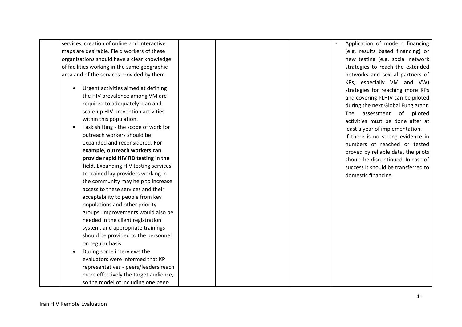of facilities working in the same geographic area and of the services provided by them. • Urgent activities aimed at defining the HIV prevalence among VM are required to adequately plan and

services, creation of online and interactive maps are desirable. Field workers of these organizations should have a clear knowledge

> within this population . • Task shifting - the scope of work for outreach workers should be expanded and reconsidered. **For example, outreach workers can provide rapid HIV RD testing in the field.** Expanding HIV testing services to trained lay providers working in the community may help to increase access to these services and their acceptability to people from key populations and other priority groups. Improvements would also be needed in the client registration system, and appropriate trainings should be provided to the personnel on regular basis.

scale -up HIV prevention activities

• During some interviews the evaluators were informed that KP representatives - peers/leaders reach more effectively the target audience, so the model of including one peer -

Application of modern financing (e.g. results based financing) or new testing (e.g. social network strategies to reach the extended networks and sexual partners of KPs, especially VM and VW) strategies for reaching more KPs and covering PLHIV can be piloted during the next Global Fung grant. The assessment of piloted activities must be done after at least a year of implementation. If there is no strong evidence in numbers of reached or tested proved by reliable data , the pilots should be discontinued. In case of success it should be transferred to domestic financing.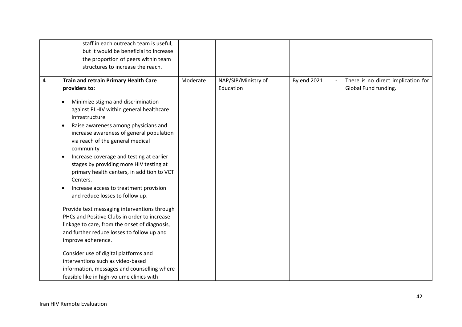|   | staff in each outreach team is useful,                |          |                     |             |                                    |
|---|-------------------------------------------------------|----------|---------------------|-------------|------------------------------------|
|   | but it would be beneficial to increase                |          |                     |             |                                    |
|   | the proportion of peers within team                   |          |                     |             |                                    |
|   | structures to increase the reach.                     |          |                     |             |                                    |
|   |                                                       |          |                     |             |                                    |
| 4 | Train and retrain Primary Health Care                 | Moderate | NAP/SIP/Ministry of | By end 2021 | There is no direct implication for |
|   | providers to:                                         |          | Education           |             | Global Fund funding.               |
|   |                                                       |          |                     |             |                                    |
|   | Minimize stigma and discrimination                    |          |                     |             |                                    |
|   | against PLHIV within general healthcare               |          |                     |             |                                    |
|   | infrastructure                                        |          |                     |             |                                    |
|   | Raise awareness among physicians and<br>$\bullet$     |          |                     |             |                                    |
|   | increase awareness of general population              |          |                     |             |                                    |
|   | via reach of the general medical                      |          |                     |             |                                    |
|   | community                                             |          |                     |             |                                    |
|   | Increase coverage and testing at earlier<br>$\bullet$ |          |                     |             |                                    |
|   | stages by providing more HIV testing at               |          |                     |             |                                    |
|   | primary health centers, in addition to VCT            |          |                     |             |                                    |
|   | Centers.                                              |          |                     |             |                                    |
|   | Increase access to treatment provision<br>$\bullet$   |          |                     |             |                                    |
|   | and reduce losses to follow up.                       |          |                     |             |                                    |
|   |                                                       |          |                     |             |                                    |
|   | Provide text messaging interventions through          |          |                     |             |                                    |
|   | PHCs and Positive Clubs in order to increase          |          |                     |             |                                    |
|   | linkage to care, from the onset of diagnosis,         |          |                     |             |                                    |
|   | and further reduce losses to follow up and            |          |                     |             |                                    |
|   | improve adherence.                                    |          |                     |             |                                    |
|   | Consider use of digital platforms and                 |          |                     |             |                                    |
|   | interventions such as video-based                     |          |                     |             |                                    |
|   | information, messages and counselling where           |          |                     |             |                                    |
|   | feasible like in high-volume clinics with             |          |                     |             |                                    |
|   |                                                       |          |                     |             |                                    |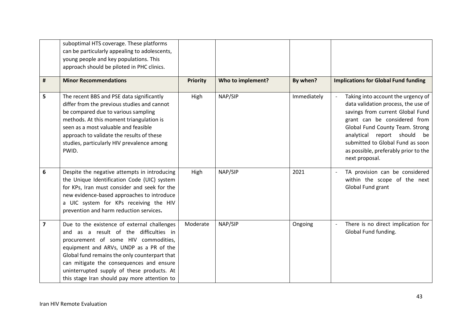|                | suboptimal HTS coverage. These platforms<br>can be particularly appealing to adolescents,<br>young people and key populations. This<br>approach should be piloted in PHC clinics.                                                                                                                                                                                   |                 |                   |             |                                                                                                                                                                                                                                                                                                               |
|----------------|---------------------------------------------------------------------------------------------------------------------------------------------------------------------------------------------------------------------------------------------------------------------------------------------------------------------------------------------------------------------|-----------------|-------------------|-------------|---------------------------------------------------------------------------------------------------------------------------------------------------------------------------------------------------------------------------------------------------------------------------------------------------------------|
| #              | <b>Minor Recommendations</b>                                                                                                                                                                                                                                                                                                                                        | <b>Priority</b> | Who to implement? | By when?    | <b>Implications for Global Fund funding</b>                                                                                                                                                                                                                                                                   |
| 5              | The recent BBS and PSE data significantly<br>differ from the previous studies and cannot<br>be compared due to various sampling<br>methods. At this moment triangulation is<br>seen as a most valuable and feasible<br>approach to validate the results of these<br>studies, particularly HIV prevalence among<br>PWID.                                             | High            | NAP/SIP           | Immediately | Taking into account the urgency of<br>data validation process, the use of<br>savings from current Global Fund<br>grant can be considered from<br>Global Fund County Team. Strong<br>analytical report should be<br>submitted to Global Fund as soon<br>as possible, preferably prior to the<br>next proposal. |
| 6              | Despite the negative attempts in introducing<br>the Unique Identification Code (UIC) system<br>for KPs, Iran must consider and seek for the<br>new evidence-based approaches to introduce<br>a UIC system for KPs receiving the HIV<br>prevention and harm reduction services.                                                                                      | High            | NAP/SIP           | 2021        | TA provision can be considered<br>within the scope of the next<br>Global Fund grant                                                                                                                                                                                                                           |
| $\overline{7}$ | Due to the existence of external challenges<br>and as a result of the difficulties in<br>procurement of some HIV commodities,<br>equipment and ARVs, UNDP as a PR of the<br>Global fund remains the only counterpart that<br>can mitigate the consequences and ensure<br>uninterrupted supply of these products. At<br>this stage Iran should pay more attention to | Moderate        | NAP/SIP           | Ongoing     | There is no direct implication for<br>Global Fund funding.                                                                                                                                                                                                                                                    |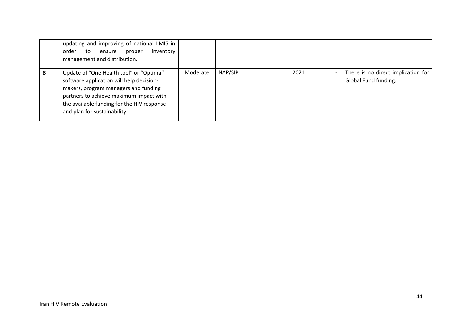|   | updating and improving of national LMIS in<br>inventory<br>order<br>proper<br>ensure<br>to<br>management and distribution.                                                                                                                           |          |         |      |                                                            |
|---|------------------------------------------------------------------------------------------------------------------------------------------------------------------------------------------------------------------------------------------------------|----------|---------|------|------------------------------------------------------------|
| 8 | Update of "One Health tool" or "Optima"<br>software application will help decision-<br>makers, program managers and funding<br>partners to achieve maximum impact with<br>the available funding for the HIV response<br>and plan for sustainability. | Moderate | NAP/SIP | 2021 | There is no direct implication for<br>Global Fund funding. |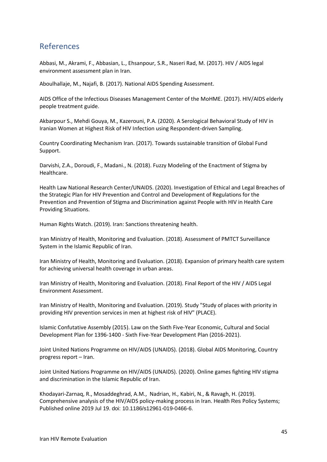## References

Abbasi, M., Akrami, F., Abbasian, L., Ehsanpour, S.R., Naseri Rad, M. (2017). HIV / AIDS legal environment assessment plan in Iran.

Aboulhallaje, M., Najafi, B. (2017). National AIDS Spending Assessment.

AIDS Office of the Infectious Diseases Management Center of the MoHME. (2017). HIV/AIDS elderly people treatment guide.

Akbarpour S., Mehdi Gouya, M., Kazerouni, P.A. (2020). A Serological Behavioral Study of HIV in Iranian Women at Highest Risk of HIV Infection using Respondent-driven Sampling.

Country Coordinating Mechanism Iran. (2017). Towards sustainable transition of Global Fund Support.

Darvishi, Z.A., Doroudi, F., Madani., N. (2018). Fuzzy Modeling of the Enactment of Stigma by Healthcare.

Health Law National Research Center/UNAIDS. (2020). Investigation of Ethical and Legal Breaches of the Strategic Plan for HIV Prevention and Control and Development of Regulations for the Prevention and Prevention of Stigma and Discrimination against People with HIV in Health Care Providing Situations.

Human Rights Watch. (2019). Iran: Sanctions threatening health.

Iran Ministry of Health, Monitoring and Evaluation. (2018). Assessment of PMTCT Surveillance System in the Islamic Republic of Iran.

Iran Ministry of Health, Monitoring and Evaluation. (2018). Expansion of primary health care system for achieving universal health coverage in urban areas.

Iran Ministry of Health, Monitoring and Evaluation. (2018). Final Report of the HIV / AIDS Legal Environment Assessment.

Iran Ministry of Health, Monitoring and Evaluation. (2019). Study "Study of places with priority in providing HIV prevention services in men at highest risk of HIV" (PLACE).

Islamic Confutative Assembly (2015). Law on the Sixth Five-Year Economic, Cultural and Social Development Plan for 1396-1400 - Sixth Five-Year Development Plan (2016-2021).

Joint United Nations Programme on HIV/AIDS (UNAIDS). (2018). Global AIDS Monitoring, Country progress report – Iran.

Joint United Nations Programme on HIV/AIDS (UNAIDS). (2020). Online games fighting HIV stigma and discrimination in the Islamic Republic of Iran.

Khodayari-Zarnaq, R., Mosaddeghrad, A.M., Nadrian, H., Kabiri, N., & Ravagh, H. (2019). Comprehensive analysis of the HIV/AIDS policy-making process in Iran. Health Res Policy Systems; Published online 2019 Jul 19. doi: 10.1186/s12961-019-0466-6.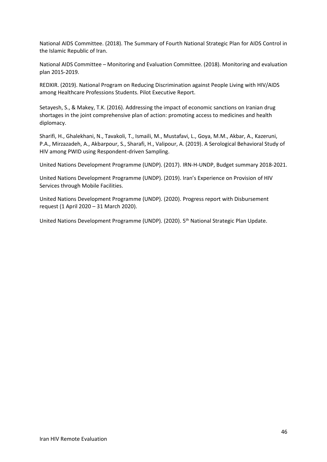National AIDS Committee. (2018). The Summary of Fourth National Strategic Plan for AIDS Control in the Islamic Republic of Iran.

National AIDS Committee – Monitoring and Evaluation Committee. (2018). Monitoring and evaluation plan 2015-2019.

REDXIR. (2019). National Program on Reducing Discrimination against People Living with HIV/AIDS among Healthcare Professions Students. Pilot Executive Report.

Setayesh, S., & Makey, T.K. (2016). Addressing the impact of economic sanctions on Iranian drug shortages in the joint comprehensive plan of action: promoting access to medicines and health diplomacy.

Sharifi, H., Ghalekhani, N., Tavakoli, T., Ismaili, M., Mustafavi, L., Goya, M.M., Akbar, A., Kazeruni, P.A., Mirzazadeh, A., Akbarpour, S., Sharafi, H., Valipour, A. (2019). A Serological Behavioral Study of HIV among PWID using Respondent-driven Sampling.

United Nations Development Programme (UNDP). (2017). IRN-H-UNDP, Budget summary 2018-2021.

United Nations Development Programme (UNDP). (2019). Iran's Experience on Provision of HIV Services through Mobile Facilities.

United Nations Development Programme (UNDP). (2020). Progress report with Disbursement request (1 April 2020 – 31 March 2020).

United Nations Development Programme (UNDP). (2020). 5<sup>th</sup> National Strategic Plan Update.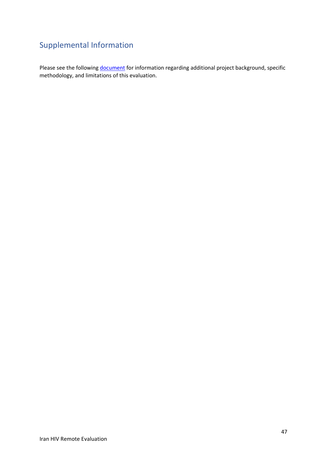## Supplemental Information

Please see the following **document** for information regarding additional project background, specific methodology, and limitations of this evaluation.